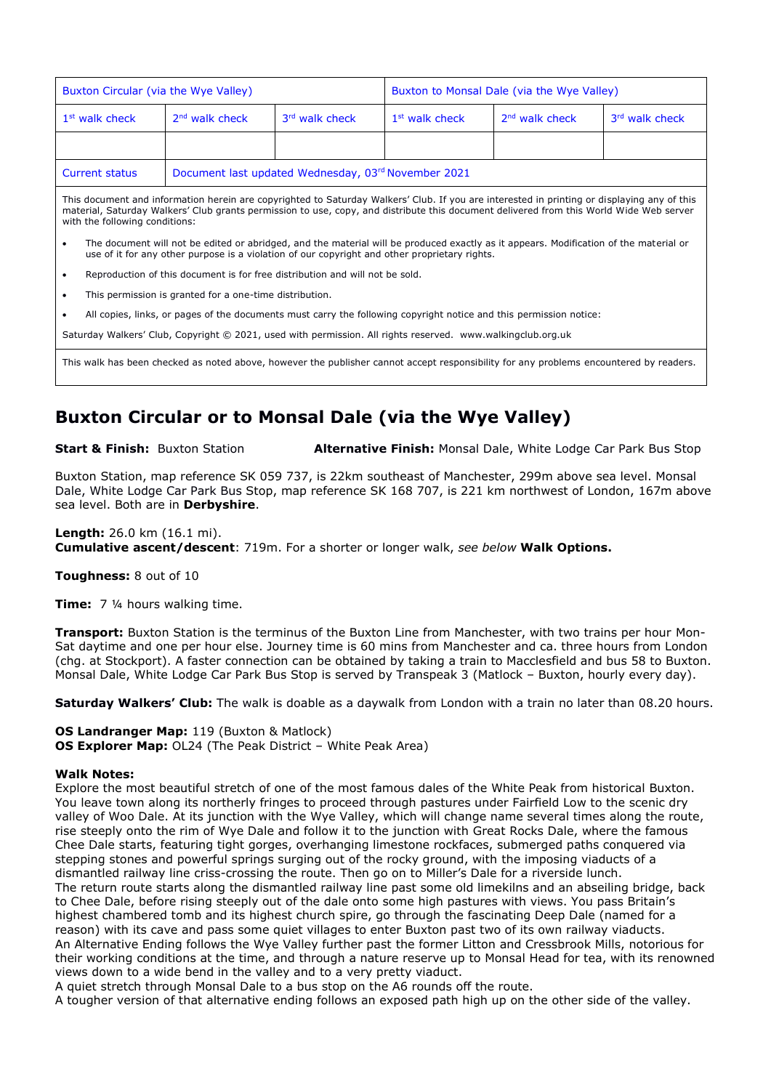| Buxton Circular (via the Wye Valley)                                                                                                                                                                                                                                                                                     |                                                     |                | Buxton to Monsal Dale (via the Wye Valley) |                  |                |
|--------------------------------------------------------------------------------------------------------------------------------------------------------------------------------------------------------------------------------------------------------------------------------------------------------------------------|-----------------------------------------------------|----------------|--------------------------------------------|------------------|----------------|
| $1st$ walk check                                                                                                                                                                                                                                                                                                         | $2nd$ walk check                                    | 3rd walk check | $1st$ walk check                           | $2nd$ walk check | 3rd walk check |
|                                                                                                                                                                                                                                                                                                                          |                                                     |                |                                            |                  |                |
| <b>Current status</b>                                                                                                                                                                                                                                                                                                    | Document last updated Wednesday, 03rd November 2021 |                |                                            |                  |                |
| This document and information herein are copyrighted to Saturday Walkers' Club. If you are interested in printing or displaying any of this<br>material, Saturday Walkers' Club grants permission to use, copy, and distribute this document delivered from this World Wide Web server<br>with the following conditions: |                                                     |                |                                            |                  |                |
| The document will not be edited or abridged, and the material will be produced exactly as it appears. Modification of the material or<br>٠<br>use of it for any other purpose is a violation of our copyright and other proprietary rights.                                                                              |                                                     |                |                                            |                  |                |

• Reproduction of this document is for free distribution and will not be sold.

This permission is granted for a one-time distribution.

• All copies, links, or pages of the documents must carry the following copyright notice and this permission notice:

Saturday Walkers' Club, Copyright © 2021, used with permission. All rights reserved. www.walkingclub.org.uk

This walk has been checked as noted above, however the publisher cannot accept responsibility for any problems encountered by readers.

# **Buxton Circular or to Monsal Dale (via the Wye Valley)**

**Start & Finish:** Buxton Station **Alternative Finish:** Monsal Dale, White Lodge Car Park Bus Stop

Buxton Station, map reference SK 059 737, is 22km southeast of Manchester, 299m above sea level. Monsal Dale, White Lodge Car Park Bus Stop, map reference SK 168 707, is 221 km northwest of London, 167m above sea level. Both are in **Derbyshire**.

#### **Length:** 26.0 km (16.1 mi).

**Cumulative ascent/descent**: 719m. For a shorter or longer walk, *see below* **Walk Options.**

**Toughness:** 8 out of 10

**Time:** 7 ¼ hours walking time.

**Transport:** Buxton Station is the terminus of the Buxton Line from Manchester, with two trains per hour Mon-Sat daytime and one per hour else. Journey time is 60 mins from Manchester and ca. three hours from London (chg. at Stockport). A faster connection can be obtained by taking a train to Macclesfield and bus 58 to Buxton. Monsal Dale, White Lodge Car Park Bus Stop is served by Transpeak 3 (Matlock – Buxton, hourly every day).

**Saturday Walkers' Club:** The walk is doable as a daywalk from London with a train no later than 08.20 hours.

### **OS Landranger Map:** 119 (Buxton & Matlock)

**OS Explorer Map:** OL24 (The Peak District - White Peak Area)

#### **Walk Notes:**

Explore the most beautiful stretch of one of the most famous dales of the White Peak from historical Buxton. You leave town along its northerly fringes to proceed through pastures under Fairfield Low to the scenic dry valley of Woo Dale. At its junction with the Wye Valley, which will change name several times along the route, rise steeply onto the rim of Wye Dale and follow it to the junction with Great Rocks Dale, where the famous Chee Dale starts, featuring tight gorges, overhanging limestone rockfaces, submerged paths conquered via stepping stones and powerful springs surging out of the rocky ground, with the imposing viaducts of a dismantled railway line criss-crossing the route. Then go on to Miller's Dale for a riverside lunch. The return route starts along the dismantled railway line past some old limekilns and an abseiling bridge, back to Chee Dale, before rising steeply out of the dale onto some high pastures with views. You pass Britain's highest chambered tomb and its highest church spire, go through the fascinating Deep Dale (named for a reason) with its cave and pass some quiet villages to enter Buxton past two of its own railway viaducts. An Alternative Ending follows the Wye Valley further past the former Litton and Cressbrook Mills, notorious for their working conditions at the time, and through a nature reserve up to Monsal Head for tea, with its renowned views down to a wide bend in the valley and to a very pretty viaduct.

A quiet stretch through Monsal Dale to a bus stop on the A6 rounds off the route.

A tougher version of that alternative ending follows an exposed path high up on the other side of the valley.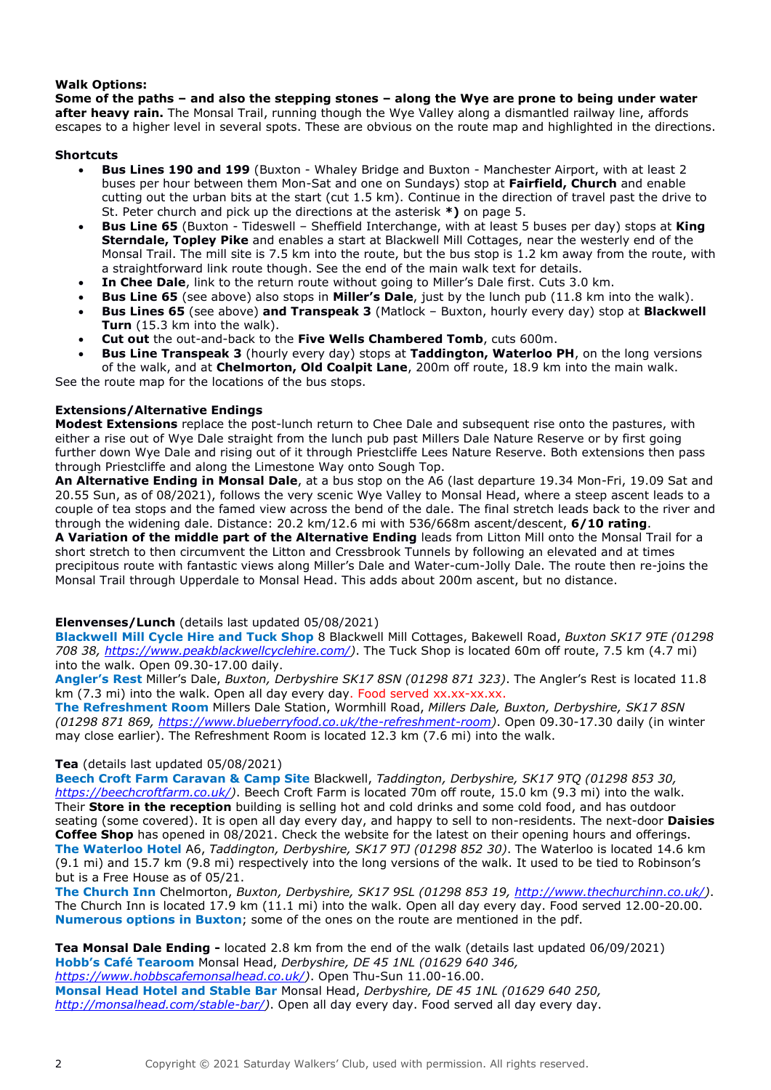### **Walk Options:**

**Some of the paths – and also the stepping stones – along the Wye are prone to being under water after heavy rain.** The Monsal Trail, running though the Wye Valley along a dismantled railway line, affords escapes to a higher level in several spots. These are obvious on the route map and highlighted in the directions.

### **Shortcuts**

- **Bus Lines 190 and 199** (Buxton Whaley Bridge and Buxton Manchester Airport, with at least 2 buses per hour between them Mon-Sat and one on Sundays) stop at **Fairfield, Church** and enable cutting out the urban bits at the start (cut 1.5 km). Continue in the direction of travel past the drive to St. Peter church and pick up the directions at the asterisk **\*)** on page 5.
- **Bus Line 65** (Buxton Tideswell Sheffield Interchange, with at least 5 buses per day) stops at **King Sterndale, Topley Pike** and enables a start at Blackwell Mill Cottages, near the westerly end of the Monsal Trail. The mill site is 7.5 km into the route, but the bus stop is 1.2 km away from the route, with a straightforward link route though. See the end of the main walk text for details.
- **In Chee Dale**, link to the return route without going to Miller's Dale first. Cuts 3.0 km.
- **Bus Line 65** (see above) also stops in **Miller's Dale**, just by the lunch pub (11.8 km into the walk).
- **Bus Lines 65** (see above) **and Transpeak 3** (Matlock Buxton, hourly every day) stop at **Blackwell Turn** (15.3 km into the walk).
- **Cut out** the out-and-back to the **Five Wells Chambered Tomb**, cuts 600m.
- **Bus Line Transpeak 3** (hourly every day) stops at **Taddington, Waterloo PH**, on the long versions of the walk, and at **Chelmorton, Old Coalpit Lane**, 200m off route, 18.9 km into the main walk.

See the route map for the locations of the bus stops.

### **Extensions/Alternative Endings**

**Modest Extensions** replace the post-lunch return to Chee Dale and subsequent rise onto the pastures, with either a rise out of Wye Dale straight from the lunch pub past Millers Dale Nature Reserve or by first going further down Wye Dale and rising out of it through Priestcliffe Lees Nature Reserve. Both extensions then pass through Priestcliffe and along the Limestone Way onto Sough Top.

**An Alternative Ending in Monsal Dale**, at a bus stop on the A6 (last departure 19.34 Mon-Fri, 19.09 Sat and 20.55 Sun, as of 08/2021), follows the very scenic Wye Valley to Monsal Head, where a steep ascent leads to a couple of tea stops and the famed view across the bend of the dale. The final stretch leads back to the river and through the widening dale. Distance: 20.2 km/12.6 mi with 536/668m ascent/descent, **6/10 rating**.

**A Variation of the middle part of the Alternative Ending** leads from Litton Mill onto the Monsal Trail for a short stretch to then circumvent the Litton and Cressbrook Tunnels by following an elevated and at times precipitous route with fantastic views along Miller's Dale and Water-cum-Jolly Dale. The route then re-joins the Monsal Trail through Upperdale to Monsal Head. This adds about 200m ascent, but no distance.

### **Elenvenses/Lunch** (details last updated 05/08/2021)

**Blackwell Mill Cycle Hire and Tuck Shop** 8 Blackwell Mill Cottages, Bakewell Road, *Buxton SK17 9TE (01298 708 38, [https://www.peakblackwellcyclehire.com/\)](https://www.peakblackwellcyclehire.com/)*. The Tuck Shop is located 60m off route, 7.5 km (4.7 mi) into the walk. Open 09.30-17.00 daily.

**Angler's Rest** Miller's Dale, *Buxton, Derbyshire SK17 8SN (01298 871 323)*. The Angler's Rest is located 11.8 km (7.3 mi) into the walk. Open all day every day. Food served xx.xx-xx.xx.

**The Refreshment Room** Millers Dale Station, Wormhill Road, *Millers Dale, Buxton, Derbyshire, SK17 8SN (01298 871 869, [https://www.blueberryfood.co.uk/the-refreshment-room\)](https://www.blueberryfood.co.uk/the-refreshment-room)*. Open 09.30-17.30 daily (in winter may close earlier). The Refreshment Room is located 12.3 km (7.6 mi) into the walk.

### **Tea** (details last updated 05/08/2021)

**Beech Croft Farm Caravan & Camp Site** Blackwell, *Taddington, Derbyshire, SK17 9TQ (01298 853 30, [https://beechcroftfarm.co.uk/\)](https://beechcroftfarm.co.uk/)*. Beech Croft Farm is located 70m off route, 15.0 km (9.3 mi) into the walk. Their **Store in the reception** building is selling hot and cold drinks and some cold food, and has outdoor seating (some covered). It is open all day every day, and happy to sell to non-residents. The next-door **Daisies Coffee Shop** has opened in 08/2021. Check the website for the latest on their opening hours and offerings. **The Waterloo Hotel** A6, *Taddington, Derbyshire, SK17 9TJ (01298 852 30)*. The Waterloo is located 14.6 km (9.1 mi) and 15.7 km (9.8 mi) respectively into the long versions of the walk. It used to be tied to Robinson's but is a Free House as of 05/21.

**The Church Inn** Chelmorton, *Buxton, Derbyshire, SK17 9SL (01298 853 19, [http://www.thechurchinn.co.uk/\)](http://www.thechurchinn.co.uk/)*. The Church Inn is located 17.9 km (11.1 mi) into the walk. Open all day every day. Food served 12.00-20.00. **Numerous options in Buxton**; some of the ones on the route are mentioned in the pdf.

**Tea Monsal Dale Ending -** located 2.8 km from the end of the walk (details last updated 06/09/2021) **Hobb's Café Tearoom** Monsal Head, *Derbyshire, DE 45 1NL (01629 640 346, [https://www.hobbscafemonsalhead.co.uk/\)](https://www.hobbscafemonsalhead.co.uk/)*. Open Thu-Sun 11.00-16.00. **Monsal Head Hotel and Stable Bar** Monsal Head, *Derbyshire, DE 45 1NL (01629 640 250, [http://monsalhead.com/stable-bar/\)](http://monsalhead.com/stable-bar/)*. Open all day every day. Food served all day every day.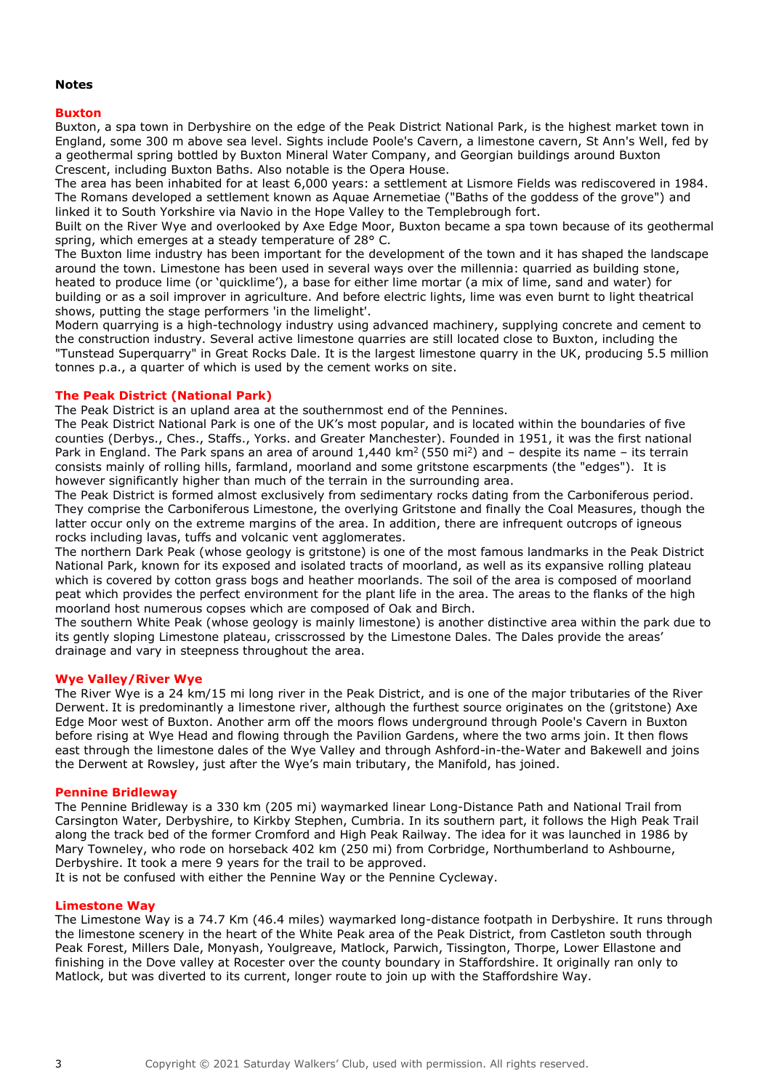#### **Notes**

#### **Buxton**

Buxton, a spa town in Derbyshire on the edge of the Peak District National Park, is the highest market town in England, some 300 m above sea level. Sights include Poole's Cavern, a limestone cavern, St Ann's Well, fed by a geothermal spring bottled by Buxton Mineral Water Company, and Georgian buildings around Buxton Crescent, including Buxton Baths. Also notable is the Opera House.

The area has been inhabited for at least 6,000 years: a settlement at Lismore Fields was rediscovered in 1984. The Romans developed a settlement known as Aquae Arnemetiae ("Baths of the goddess of the grove") and linked it to South Yorkshire via Navio in the Hope Valley to the Templebrough fort.

Built on the River Wye and overlooked by Axe Edge Moor, Buxton became a spa town because of its geothermal spring, which emerges at a steady temperature of 28° C.

The Buxton lime industry has been important for the development of the town and it has shaped the landscape around the town. Limestone has been used in several ways over the millennia: quarried as building stone, heated to produce lime (or 'quicklime'), a base for either lime mortar (a mix of lime, sand and water) for building or as a soil improver in agriculture. And before electric lights, lime was even burnt to light theatrical shows, putting the stage performers 'in the limelight'.

Modern quarrying is a high-technology industry using advanced machinery, supplying concrete and cement to the construction industry. Several active limestone quarries are still located close to Buxton, including the "Tunstead Superquarry" in Great Rocks Dale. It is the largest limestone quarry in the UK, producing 5.5 million tonnes p.a., a quarter of which is used by the cement works on site.

#### **The Peak District (National Park)**

The Peak District is an upland area at the southernmost end of the Pennines.

The Peak District National Park is one of the UK's most popular, and is located within the boundaries of five counties (Derbys., Ches., Staffs., Yorks. and Greater Manchester). Founded in 1951, it was the first national Park in England. The Park spans an area of around  $1,440 \text{ km}^2 (550 \text{ mi}^2)$  and – despite its name – its terrain consists mainly of rolling hills, farmland, moorland and some gritstone escarpments (the "edges"). It is however significantly higher than much of the terrain in the surrounding area.

The Peak District is formed almost exclusively from sedimentary rocks dating from the Carboniferous period. They comprise the Carboniferous Limestone, the overlying Gritstone and finally the Coal Measures, though the latter occur only on the extreme margins of the area. In addition, there are infrequent outcrops of igneous rocks including lavas, tuffs and volcanic vent agglomerates.

The northern Dark Peak (whose geology is gritstone) is one of the most famous landmarks in the Peak District National Park, known for its exposed and isolated tracts of moorland, as well as its expansive rolling plateau which is covered by cotton grass bogs and heather moorlands. The soil of the area is composed of moorland peat which provides the perfect environment for the plant life in the area. The areas to the flanks of the high moorland host numerous copses which are composed of Oak and Birch.

The southern White Peak (whose geology is mainly limestone) is another distinctive area within the park due to its gently sloping Limestone plateau, crisscrossed by the Limestone Dales. The Dales provide the areas' drainage and vary in steepness throughout the area.

#### **Wye Valley/River Wye**

The River Wye is a 24 km/15 mi long river in the Peak District, and is one of the major tributaries of the River Derwent. It is predominantly a limestone river, although the furthest source originates on the (gritstone) Axe Edge Moor west of Buxton. Another arm off the moors flows underground through Poole's Cavern in Buxton before rising at Wye Head and flowing through the Pavilion Gardens, where the two arms join. It then flows east through the limestone dales of the Wye Valley and through Ashford-in-the-Water and Bakewell and joins the Derwent at Rowsley, just after the Wye's main tributary, the Manifold, has joined.

#### **Pennine Bridleway**

The Pennine Bridleway is a 330 km (205 mi) waymarked linear Long-Distance Path and National Trail from Carsington Water, Derbyshire, to Kirkby Stephen, Cumbria. In its southern part, it follows the High Peak Trail along the track bed of the former Cromford and High Peak Railway. The idea for it was launched in 1986 by Mary Towneley, who rode on horseback 402 km (250 mi) from Corbridge, Northumberland to Ashbourne, Derbyshire. It took a mere 9 years for the trail to be approved.

It is not be confused with either the Pennine Way or the Pennine Cycleway.

#### **Limestone Way**

The Limestone Way is a 74.7 Km (46.4 miles) waymarked long-distance footpath in Derbyshire. It runs through the limestone scenery in the heart of the White Peak area of the Peak District, from Castleton south through Peak Forest, Millers Dale, Monyash, Youlgreave, Matlock, Parwich, Tissington, Thorpe, Lower Ellastone and finishing in the Dove valley at Rocester over the county boundary in Staffordshire. It originally ran only to Matlock, but was diverted to its current, longer route to join up with the Staffordshire Way.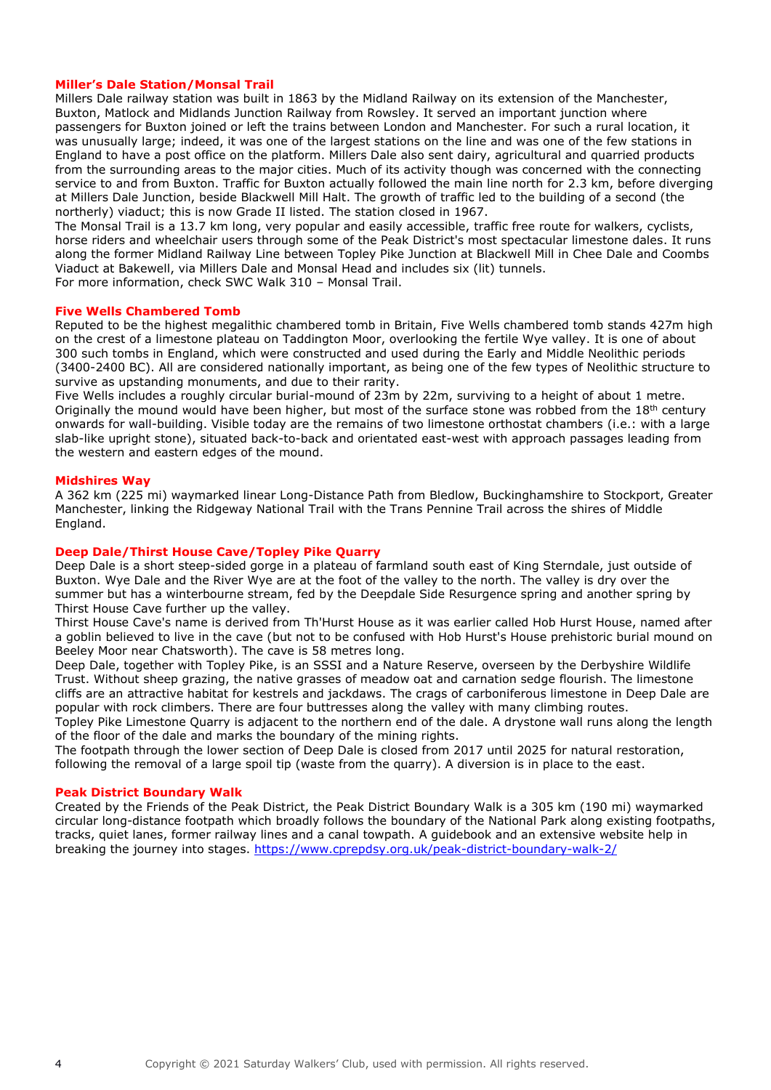#### **Miller's Dale Station/Monsal Trail**

Millers Dale railway station was built in 1863 by the Midland Railway on its extension of the Manchester, Buxton, Matlock and Midlands Junction Railway from Rowsley. It served an important junction where passengers for Buxton joined or left the trains between London and Manchester. For such a rural location, it was unusually large; indeed, it was one of the largest stations on the line and was one of the few stations in England to have a post office on the platform. Millers Dale also sent dairy, agricultural and quarried products from the surrounding areas to the major cities. Much of its activity though was concerned with the connecting service to and from Buxton. Traffic for Buxton actually followed the main line north for 2.3 km, before diverging at Millers Dale Junction, beside Blackwell Mill Halt. The growth of traffic led to the building of a second (the northerly) viaduct; this is now Grade II listed. The station closed in 1967.

The Monsal Trail is a 13.7 km long, very popular and easily accessible, traffic free route for walkers, cyclists, horse riders and wheelchair users through some of the Peak District's most spectacular limestone dales. It runs along the former Midland Railway Line between Topley Pike Junction at Blackwell Mill in Chee Dale and Coombs Viaduct at Bakewell, via Millers Dale and Monsal Head and includes six (lit) tunnels. For more information, check SWC Walk 310 – Monsal Trail.

### **Five Wells Chambered Tomb**

Reputed to be the highest megalithic chambered tomb in Britain, Five Wells chambered tomb stands 427m high on the crest of a limestone plateau on Taddington Moor, overlooking the fertile Wye valley. It is one of about 300 such tombs in England, which were constructed and used during the Early and Middle Neolithic periods (3400-2400 BC). All are considered nationally important, as being one of the few types of Neolithic structure to survive as upstanding monuments, and due to their rarity.

Five Wells includes a roughly circular burial-mound of 23m by 22m, surviving to a height of about 1 metre. Originally the mound would have been higher, but most of the surface stone was robbed from the  $18<sup>th</sup>$  century onwards for wall-building. Visible today are the remains of two limestone orthostat chambers (i.e.: with a large slab-like upright stone), situated back-to-back and orientated east-west with approach passages leading from the western and eastern edges of the mound.

#### **Midshires Way**

A 362 km (225 mi) waymarked linear Long-Distance Path from Bledlow, Buckinghamshire to Stockport, Greater Manchester, linking the Ridgeway National Trail with the Trans Pennine Trail across the shires of Middle England.

#### **Deep Dale/Thirst House Cave/Topley Pike Quarry**

Deep Dale is a short steep-sided gorge in a plateau of farmland south east of King Sterndale, just outside of Buxton. Wye Dale and the River Wye are at the foot of the valley to the north. The valley is dry over the summer but has a winterbourne stream, fed by the Deepdale Side Resurgence spring and another spring by Thirst House Cave further up the valley.

Thirst House Cave's name is derived from Th'Hurst House as it was earlier called Hob Hurst House, named after a goblin believed to live in the cave (but not to be confused with Hob Hurst's House prehistoric burial mound on Beeley Moor near Chatsworth). The cave is 58 metres long.

Deep Dale, together with Topley Pike, is an SSSI and a Nature Reserve, overseen by the Derbyshire Wildlife Trust. Without sheep grazing, the native grasses of meadow oat and carnation sedge flourish. The limestone cliffs are an attractive habitat for kestrels and jackdaws. The crags of carboniferous limestone in Deep Dale are popular with rock climbers. There are four buttresses along the valley with many climbing routes.

Topley Pike Limestone Quarry is adjacent to the northern end of the dale. A drystone wall runs along the length of the floor of the dale and marks the boundary of the mining rights.

The footpath through the lower section of Deep Dale is closed from 2017 until 2025 for natural restoration, following the removal of a large spoil tip (waste from the quarry). A diversion is in place to the east.

#### **Peak District Boundary Walk**

Created by the Friends of the Peak District, the Peak District Boundary Walk is a 305 km (190 mi) waymarked circular long-distance footpath which broadly follows the boundary of the National Park along existing footpaths, tracks, quiet lanes, former railway lines and a canal towpath. A guidebook and an extensive website help in breaking the journey into stages.<https://www.cprepdsy.org.uk/peak-district-boundary-walk-2/>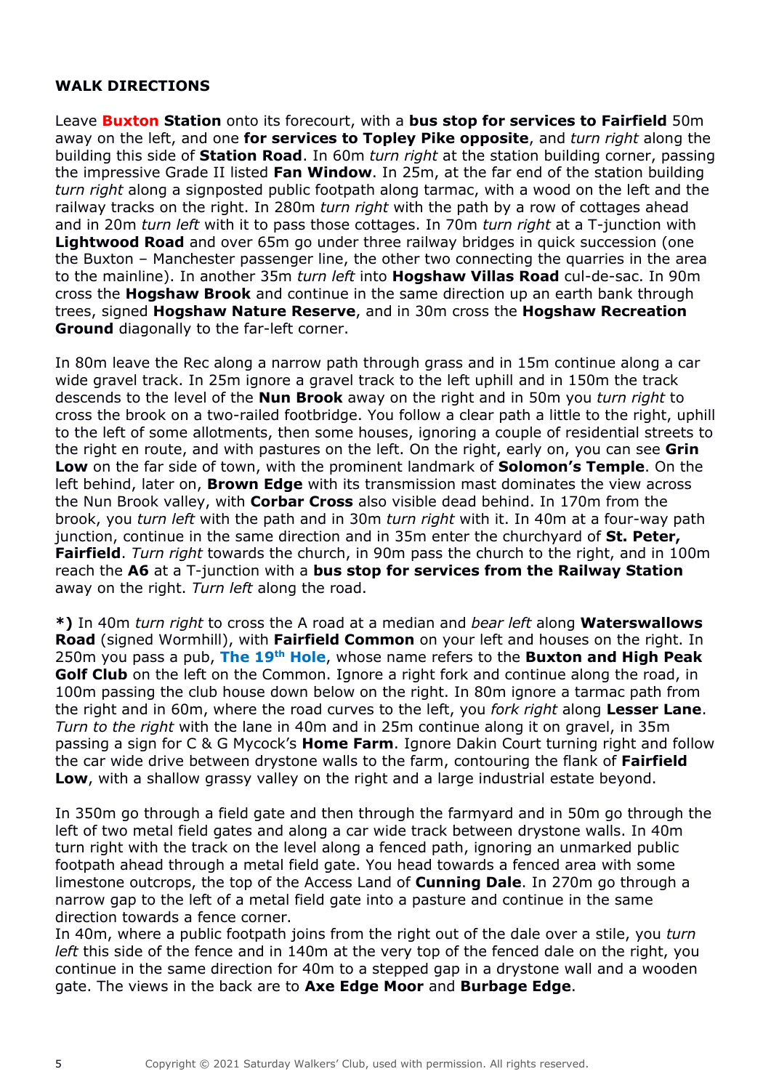### **WALK DIRECTIONS**

Leave **Buxton Station** onto its forecourt, with a **bus stop for services to Fairfield** 50m away on the left, and one **for services to Topley Pike opposite**, and *turn right* along the building this side of **Station Road**. In 60m *turn right* at the station building corner, passing the impressive Grade II listed **Fan Window**. In 25m, at the far end of the station building *turn right* along a signposted public footpath along tarmac, with a wood on the left and the railway tracks on the right. In 280m *turn right* with the path by a row of cottages ahead and in 20m *turn left* with it to pass those cottages. In 70m *turn right* at a T-junction with **Lightwood Road** and over 65m go under three railway bridges in quick succession (one the Buxton – Manchester passenger line, the other two connecting the quarries in the area to the mainline). In another 35m *turn left* into **Hogshaw Villas Road** cul-de-sac. In 90m cross the **Hogshaw Brook** and continue in the same direction up an earth bank through trees, signed **Hogshaw Nature Reserve**, and in 30m cross the **Hogshaw Recreation Ground** diagonally to the far-left corner.

In 80m leave the Rec along a narrow path through grass and in 15m continue along a car wide gravel track. In 25m ignore a gravel track to the left uphill and in 150m the track descends to the level of the **Nun Brook** away on the right and in 50m you *turn right* to cross the brook on a two-railed footbridge. You follow a clear path a little to the right, uphill to the left of some allotments, then some houses, ignoring a couple of residential streets to the right en route, and with pastures on the left. On the right, early on, you can see **Grin Low** on the far side of town, with the prominent landmark of **Solomon's Temple**. On the left behind, later on, **Brown Edge** with its transmission mast dominates the view across the Nun Brook valley, with **Corbar Cross** also visible dead behind. In 170m from the brook, you *turn left* with the path and in 30m *turn right* with it. In 40m at a four-way path junction, continue in the same direction and in 35m enter the churchyard of **St. Peter, Fairfield**. *Turn right* towards the church, in 90m pass the church to the right, and in 100m reach the **A6** at a T-junction with a **bus stop for services from the Railway Station** away on the right. *Turn left* along the road.

**\*)** In 40m *turn right* to cross the A road at a median and *bear left* along **Waterswallows Road** (signed Wormhill), with **Fairfield Common** on your left and houses on the right. In 250m you pass a pub, **The 19th Hole**, whose name refers to the **Buxton and High Peak Golf Club** on the left on the Common. Ignore a right fork and continue along the road, in 100m passing the club house down below on the right. In 80m ignore a tarmac path from the right and in 60m, where the road curves to the left, you *fork right* along **Lesser Lane**. *Turn to the right* with the lane in 40m and in 25m continue along it on gravel, in 35m passing a sign for C & G Mycock's **Home Farm**. Ignore Dakin Court turning right and follow the car wide drive between drystone walls to the farm, contouring the flank of **Fairfield Low**, with a shallow grassy valley on the right and a large industrial estate beyond.

In 350m go through a field gate and then through the farmyard and in 50m go through the left of two metal field gates and along a car wide track between drystone walls. In 40m turn right with the track on the level along a fenced path, ignoring an unmarked public footpath ahead through a metal field gate. You head towards a fenced area with some limestone outcrops, the top of the Access Land of **Cunning Dale**. In 270m go through a narrow gap to the left of a metal field gate into a pasture and continue in the same direction towards a fence corner.

In 40m, where a public footpath joins from the right out of the dale over a stile, you *turn left* this side of the fence and in 140m at the very top of the fenced dale on the right, you continue in the same direction for 40m to a stepped gap in a drystone wall and a wooden gate. The views in the back are to **Axe Edge Moor** and **Burbage Edge**.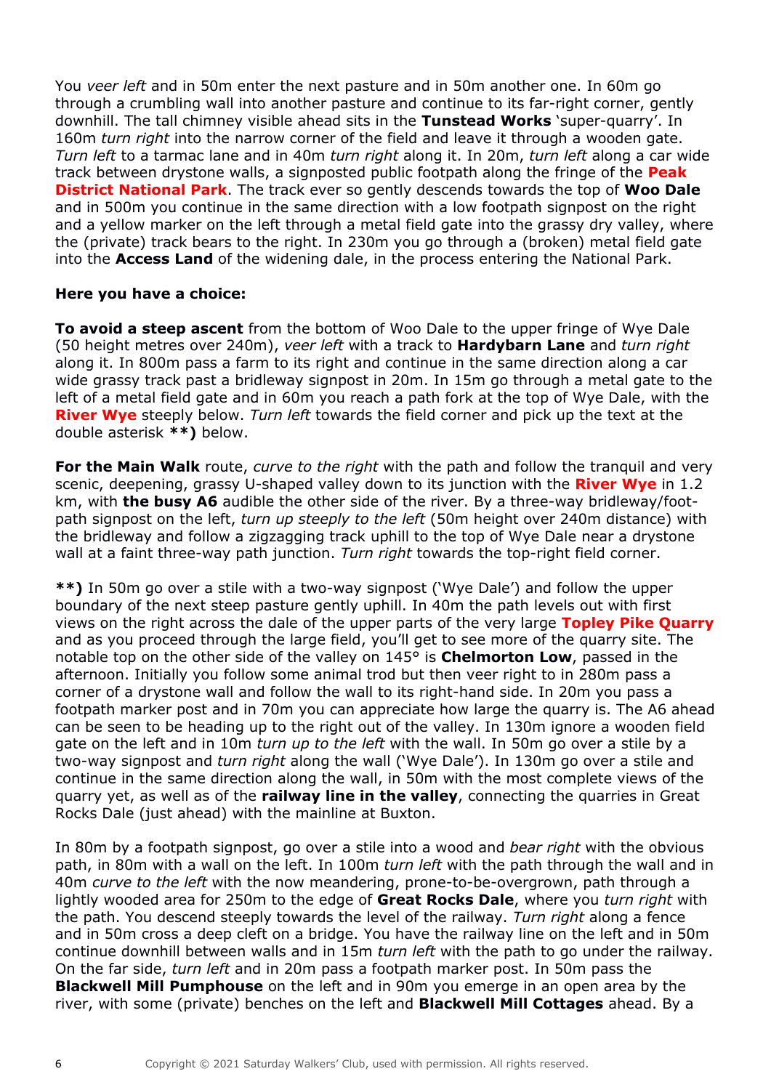You *veer left* and in 50m enter the next pasture and in 50m another one. In 60m go through a crumbling wall into another pasture and continue to its far-right corner, gently downhill. The tall chimney visible ahead sits in the **Tunstead Works** 'super-quarry'. In 160m *turn right* into the narrow corner of the field and leave it through a wooden gate. *Turn left* to a tarmac lane and in 40m *turn right* along it. In 20m, *turn left* along a car wide track between drystone walls, a signposted public footpath along the fringe of the **Peak District National Park**. The track ever so gently descends towards the top of **Woo Dale** and in 500m you continue in the same direction with a low footpath signpost on the right and a yellow marker on the left through a metal field gate into the grassy dry valley, where the (private) track bears to the right. In 230m you go through a (broken) metal field gate into the **Access Land** of the widening dale, in the process entering the National Park.

## **Here you have a choice:**

**To avoid a steep ascent** from the bottom of Woo Dale to the upper fringe of Wye Dale (50 height metres over 240m), *veer left* with a track to **Hardybarn Lane** and *turn right* along it. In 800m pass a farm to its right and continue in the same direction along a car wide grassy track past a bridleway signpost in 20m. In 15m go through a metal gate to the left of a metal field gate and in 60m you reach a path fork at the top of Wye Dale, with the **River Wye** steeply below. *Turn left* towards the field corner and pick up the text at the double asterisk **\*\*)** below.

**For the Main Walk** route, *curve to the right* with the path and follow the tranquil and very scenic, deepening, grassy U-shaped valley down to its junction with the **River Wye** in 1.2 km, with **the busy A6** audible the other side of the river. By a three-way bridleway/footpath signpost on the left, *turn up steeply to the left* (50m height over 240m distance) with the bridleway and follow a zigzagging track uphill to the top of Wye Dale near a drystone wall at a faint three-way path junction. *Turn right* towards the top-right field corner.

**\*\*)** In 50m go over a stile with a two-way signpost ('Wye Dale') and follow the upper boundary of the next steep pasture gently uphill. In 40m the path levels out with first views on the right across the dale of the upper parts of the very large **Topley Pike Quarry** and as you proceed through the large field, you'll get to see more of the quarry site. The notable top on the other side of the valley on 145° is **Chelmorton Low**, passed in the afternoon. Initially you follow some animal trod but then veer right to in 280m pass a corner of a drystone wall and follow the wall to its right-hand side. In 20m you pass a footpath marker post and in 70m you can appreciate how large the quarry is. The A6 ahead can be seen to be heading up to the right out of the valley. In 130m ignore a wooden field gate on the left and in 10m *turn up to the left* with the wall. In 50m go over a stile by a two-way signpost and *turn right* along the wall ('Wye Dale'). In 130m go over a stile and continue in the same direction along the wall, in 50m with the most complete views of the quarry yet, as well as of the **railway line in the valley**, connecting the quarries in Great Rocks Dale (just ahead) with the mainline at Buxton.

In 80m by a footpath signpost, go over a stile into a wood and *bear right* with the obvious path, in 80m with a wall on the left. In 100m *turn left* with the path through the wall and in 40m *curve to the left* with the now meandering, prone-to-be-overgrown, path through a lightly wooded area for 250m to the edge of **Great Rocks Dale**, where you *turn right* with the path. You descend steeply towards the level of the railway. *Turn right* along a fence and in 50m cross a deep cleft on a bridge. You have the railway line on the left and in 50m continue downhill between walls and in 15m *turn left* with the path to go under the railway. On the far side, *turn left* and in 20m pass a footpath marker post. In 50m pass the **Blackwell Mill Pumphouse** on the left and in 90m you emerge in an open area by the river, with some (private) benches on the left and **Blackwell Mill Cottages** ahead. By a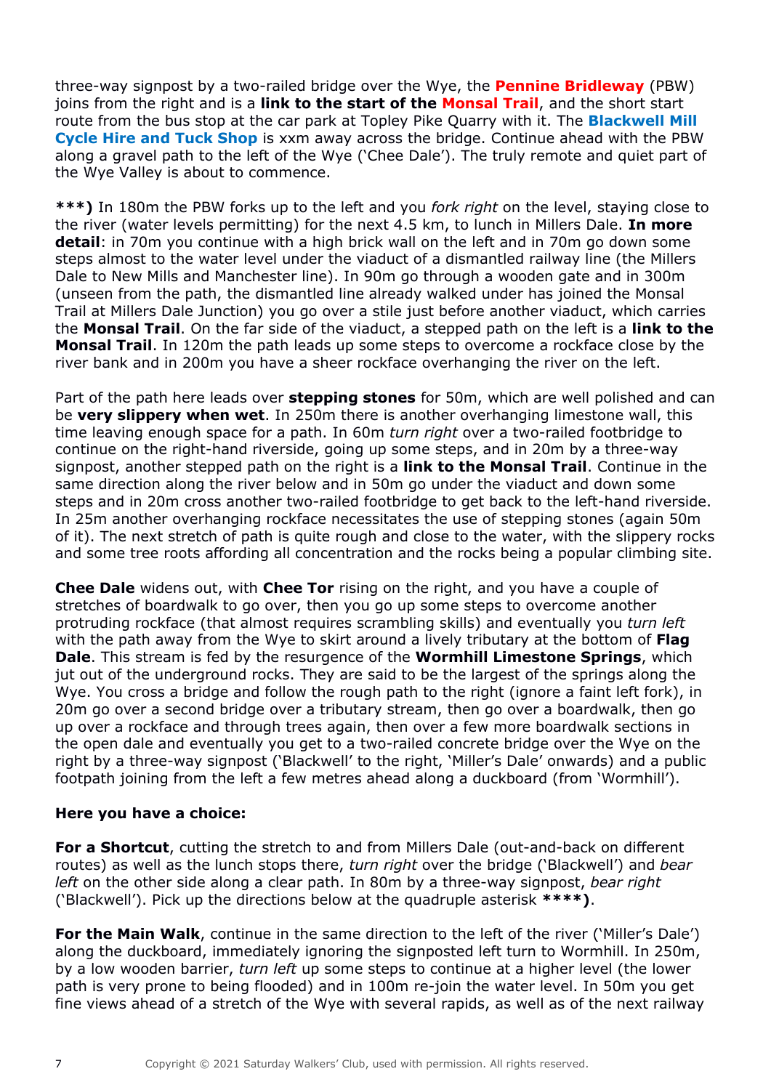three-way signpost by a two-railed bridge over the Wye, the **Pennine Bridleway** (PBW) joins from the right and is a **link to the start of the Monsal Trail**, and the short start route from the bus stop at the car park at Topley Pike Quarry with it. The **Blackwell Mill Cycle Hire and Tuck Shop** is xxm away across the bridge. Continue ahead with the PBW along a gravel path to the left of the Wye ('Chee Dale'). The truly remote and quiet part of the Wye Valley is about to commence.

**\*\*\*)** In 180m the PBW forks up to the left and you *fork right* on the level, staying close to the river (water levels permitting) for the next 4.5 km, to lunch in Millers Dale. **In more detail**: in 70m you continue with a high brick wall on the left and in 70m go down some steps almost to the water level under the viaduct of a dismantled railway line (the Millers Dale to New Mills and Manchester line). In 90m go through a wooden gate and in 300m (unseen from the path, the dismantled line already walked under has joined the Monsal Trail at Millers Dale Junction) you go over a stile just before another viaduct, which carries the **Monsal Trail**. On the far side of the viaduct, a stepped path on the left is a **link to the Monsal Trail**. In 120m the path leads up some steps to overcome a rockface close by the river bank and in 200m you have a sheer rockface overhanging the river on the left.

Part of the path here leads over **stepping stones** for 50m, which are well polished and can be **very slippery when wet**. In 250m there is another overhanging limestone wall, this time leaving enough space for a path. In 60m *turn right* over a two-railed footbridge to continue on the right-hand riverside, going up some steps, and in 20m by a three-way signpost, another stepped path on the right is a **link to the Monsal Trail**. Continue in the same direction along the river below and in 50m go under the viaduct and down some steps and in 20m cross another two-railed footbridge to get back to the left-hand riverside. In 25m another overhanging rockface necessitates the use of stepping stones (again 50m of it). The next stretch of path is quite rough and close to the water, with the slippery rocks and some tree roots affording all concentration and the rocks being a popular climbing site.

**Chee Dale** widens out, with **Chee Tor** rising on the right, and you have a couple of stretches of boardwalk to go over, then you go up some steps to overcome another protruding rockface (that almost requires scrambling skills) and eventually you *turn left* with the path away from the Wye to skirt around a lively tributary at the bottom of **Flag Dale**. This stream is fed by the resurgence of the **Wormhill Limestone Springs**, which jut out of the underground rocks. They are said to be the largest of the springs along the Wye. You cross a bridge and follow the rough path to the right (ignore a faint left fork), in 20m go over a second bridge over a tributary stream, then go over a boardwalk, then go up over a rockface and through trees again, then over a few more boardwalk sections in the open dale and eventually you get to a two-railed concrete bridge over the Wye on the right by a three-way signpost ('Blackwell' to the right, 'Miller's Dale' onwards) and a public footpath joining from the left a few metres ahead along a duckboard (from 'Wormhill').

### **Here you have a choice:**

**For a Shortcut**, cutting the stretch to and from Millers Dale (out-and-back on different routes) as well as the lunch stops there, *turn right* over the bridge ('Blackwell') and *bear left* on the other side along a clear path. In 80m by a three-way signpost, *bear right* ('Blackwell'). Pick up the directions below at the quadruple asterisk **\*\*\*\*)**.

**For the Main Walk**, continue in the same direction to the left of the river ('Miller's Dale') along the duckboard, immediately ignoring the signposted left turn to Wormhill. In 250m, by a low wooden barrier, *turn left* up some steps to continue at a higher level (the lower path is very prone to being flooded) and in 100m re-join the water level. In 50m you get fine views ahead of a stretch of the Wye with several rapids, as well as of the next railway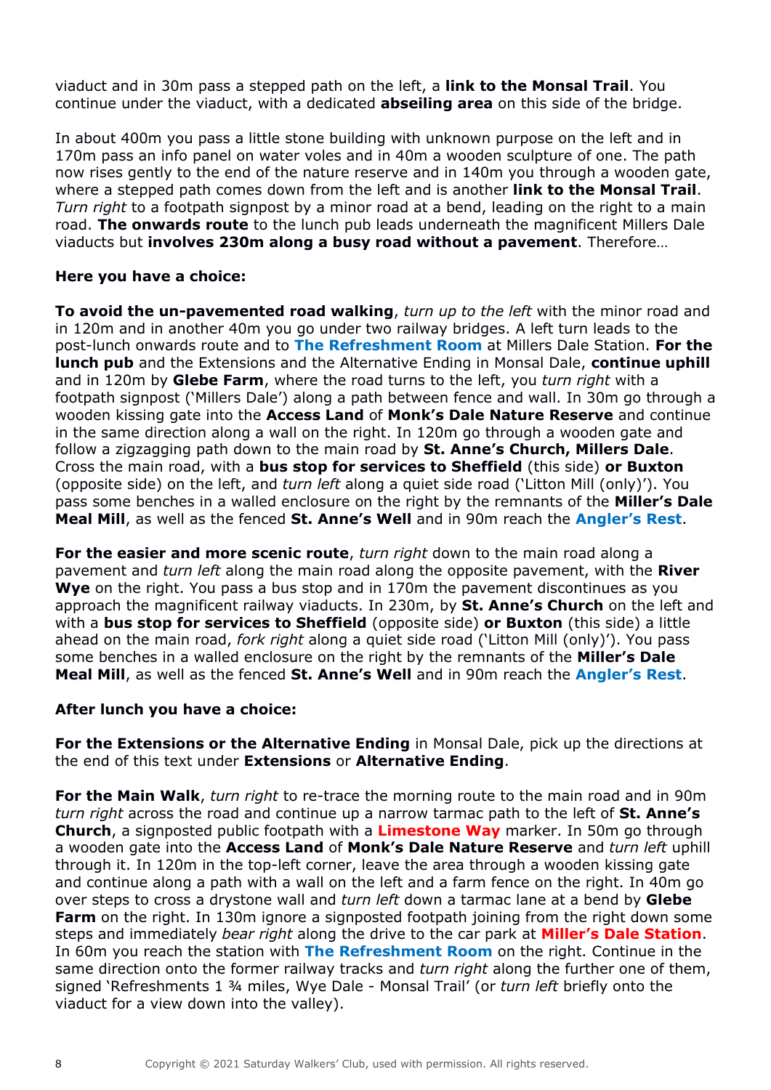viaduct and in 30m pass a stepped path on the left, a **link to the Monsal Trail**. You continue under the viaduct, with a dedicated **abseiling area** on this side of the bridge.

In about 400m you pass a little stone building with unknown purpose on the left and in 170m pass an info panel on water voles and in 40m a wooden sculpture of one. The path now rises gently to the end of the nature reserve and in 140m you through a wooden gate, where a stepped path comes down from the left and is another **link to the Monsal Trail**. *Turn right* to a footpath signpost by a minor road at a bend, leading on the right to a main road. **The onwards route** to the lunch pub leads underneath the magnificent Millers Dale viaducts but **involves 230m along a busy road without a pavement**. Therefore…

## **Here you have a choice:**

**To avoid the un-pavemented road walking**, *turn up to the left* with the minor road and in 120m and in another 40m you go under two railway bridges. A left turn leads to the post-lunch onwards route and to **The Refreshment Room** at Millers Dale Station. **For the lunch pub** and the Extensions and the Alternative Ending in Monsal Dale, **continue uphill** and in 120m by **Glebe Farm**, where the road turns to the left, you *turn right* with a footpath signpost ('Millers Dale') along a path between fence and wall. In 30m go through a wooden kissing gate into the **Access Land** of **Monk's Dale Nature Reserve** and continue in the same direction along a wall on the right. In 120m go through a wooden gate and follow a zigzagging path down to the main road by **St. Anne's Church, Millers Dale**. Cross the main road, with a **bus stop for services to Sheffield** (this side) **or Buxton** (opposite side) on the left, and *turn left* along a quiet side road ('Litton Mill (only)'). You pass some benches in a walled enclosure on the right by the remnants of the **Miller's Dale Meal Mill**, as well as the fenced **St. Anne's Well** and in 90m reach the **Angler's Rest**.

**For the easier and more scenic route**, *turn right* down to the main road along a pavement and *turn left* along the main road along the opposite pavement, with the **River Wye** on the right. You pass a bus stop and in 170m the pavement discontinues as you approach the magnificent railway viaducts. In 230m, by **St. Anne's Church** on the left and with a **bus stop for services to Sheffield** (opposite side) **or Buxton** (this side) a little ahead on the main road, *fork right* along a quiet side road ('Litton Mill (only)'). You pass some benches in a walled enclosure on the right by the remnants of the **Miller's Dale Meal Mill**, as well as the fenced **St. Anne's Well** and in 90m reach the **Angler's Rest**.

## **After lunch you have a choice:**

**For the Extensions or the Alternative Ending** in Monsal Dale, pick up the directions at the end of this text under **Extensions** or **Alternative Ending**.

**For the Main Walk**, *turn right* to re-trace the morning route to the main road and in 90m *turn right* across the road and continue up a narrow tarmac path to the left of **St. Anne's Church**, a signposted public footpath with a **Limestone Way** marker. In 50m go through a wooden gate into the **Access Land** of **Monk's Dale Nature Reserve** and *turn left* uphill through it. In 120m in the top-left corner, leave the area through a wooden kissing gate and continue along a path with a wall on the left and a farm fence on the right. In 40m go over steps to cross a drystone wall and *turn left* down a tarmac lane at a bend by **Glebe Farm** on the right. In 130m ignore a signposted footpath joining from the right down some steps and immediately *bear right* along the drive to the car park at **Miller's Dale Station**. In 60m you reach the station with **The Refreshment Room** on the right. Continue in the same direction onto the former railway tracks and *turn right* along the further one of them, signed 'Refreshments 1 ¾ miles, Wye Dale - Monsal Trail' (or *turn left* briefly onto the viaduct for a view down into the valley).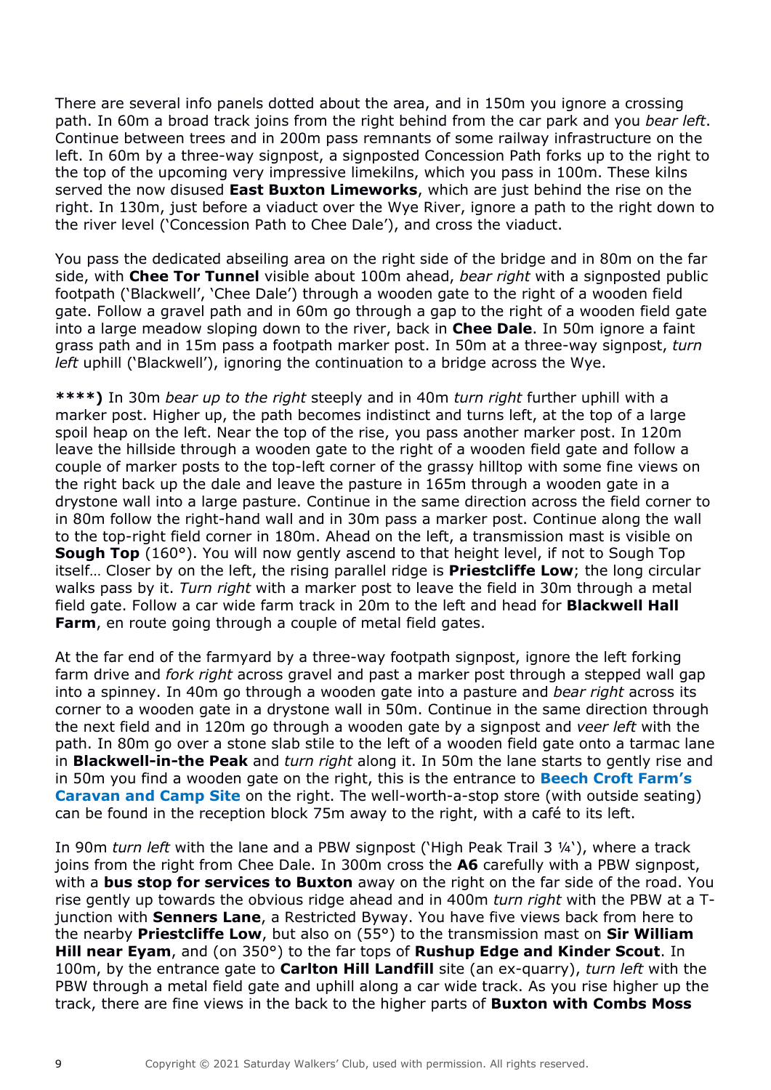There are several info panels dotted about the area, and in 150m you ignore a crossing path. In 60m a broad track joins from the right behind from the car park and you *bear left*. Continue between trees and in 200m pass remnants of some railway infrastructure on the left. In 60m by a three-way signpost, a signposted Concession Path forks up to the right to the top of the upcoming very impressive limekilns, which you pass in 100m. These kilns served the now disused **East Buxton Limeworks**, which are just behind the rise on the right. In 130m, just before a viaduct over the Wye River, ignore a path to the right down to the river level ('Concession Path to Chee Dale'), and cross the viaduct.

You pass the dedicated abseiling area on the right side of the bridge and in 80m on the far side, with **Chee Tor Tunnel** visible about 100m ahead, *bear right* with a signposted public footpath ('Blackwell', 'Chee Dale') through a wooden gate to the right of a wooden field gate. Follow a gravel path and in 60m go through a gap to the right of a wooden field gate into a large meadow sloping down to the river, back in **Chee Dale**. In 50m ignore a faint grass path and in 15m pass a footpath marker post. In 50m at a three-way signpost, *turn left* uphill ('Blackwell'), ignoring the continuation to a bridge across the Wye.

**\*\*\*\*)** In 30m *bear up to the right* steeply and in 40m *turn right* further uphill with a marker post. Higher up, the path becomes indistinct and turns left, at the top of a large spoil heap on the left. Near the top of the rise, you pass another marker post. In 120m leave the hillside through a wooden gate to the right of a wooden field gate and follow a couple of marker posts to the top-left corner of the grassy hilltop with some fine views on the right back up the dale and leave the pasture in 165m through a wooden gate in a drystone wall into a large pasture. Continue in the same direction across the field corner to in 80m follow the right-hand wall and in 30m pass a marker post. Continue along the wall to the top-right field corner in 180m. Ahead on the left, a transmission mast is visible on **Sough Top** (160°). You will now gently ascend to that height level, if not to Sough Top itself… Closer by on the left, the rising parallel ridge is **Priestcliffe Low**; the long circular walks pass by it. *Turn right* with a marker post to leave the field in 30m through a metal field gate. Follow a car wide farm track in 20m to the left and head for **Blackwell Hall Farm**, en route going through a couple of metal field gates.

At the far end of the farmyard by a three-way footpath signpost, ignore the left forking farm drive and *fork right* across gravel and past a marker post through a stepped wall gap into a spinney. In 40m go through a wooden gate into a pasture and *bear right* across its corner to a wooden gate in a drystone wall in 50m. Continue in the same direction through the next field and in 120m go through a wooden gate by a signpost and *veer left* with the path. In 80m go over a stone slab stile to the left of a wooden field gate onto a tarmac lane in **Blackwell-in-the Peak** and *turn right* along it. In 50m the lane starts to gently rise and in 50m you find a wooden gate on the right, this is the entrance to **Beech Croft Farm's Caravan and Camp Site** on the right. The well-worth-a-stop store (with outside seating) can be found in the reception block 75m away to the right, with a café to its left.

In 90m *turn left* with the lane and a PBW signpost ('High Peak Trail 3 ¼'), where a track joins from the right from Chee Dale. In 300m cross the **A6** carefully with a PBW signpost, with a **bus stop for services to Buxton** away on the right on the far side of the road. You rise gently up towards the obvious ridge ahead and in 400m *turn right* with the PBW at a Tjunction with **Senners Lane**, a Restricted Byway. You have five views back from here to the nearby **Priestcliffe Low**, but also on (55°) to the transmission mast on **Sir William Hill near Eyam**, and (on 350°) to the far tops of **Rushup Edge and Kinder Scout**. In 100m, by the entrance gate to **Carlton Hill Landfill** site (an ex-quarry), *turn left* with the PBW through a metal field gate and uphill along a car wide track. As you rise higher up the track, there are fine views in the back to the higher parts of **Buxton with Combs Moss**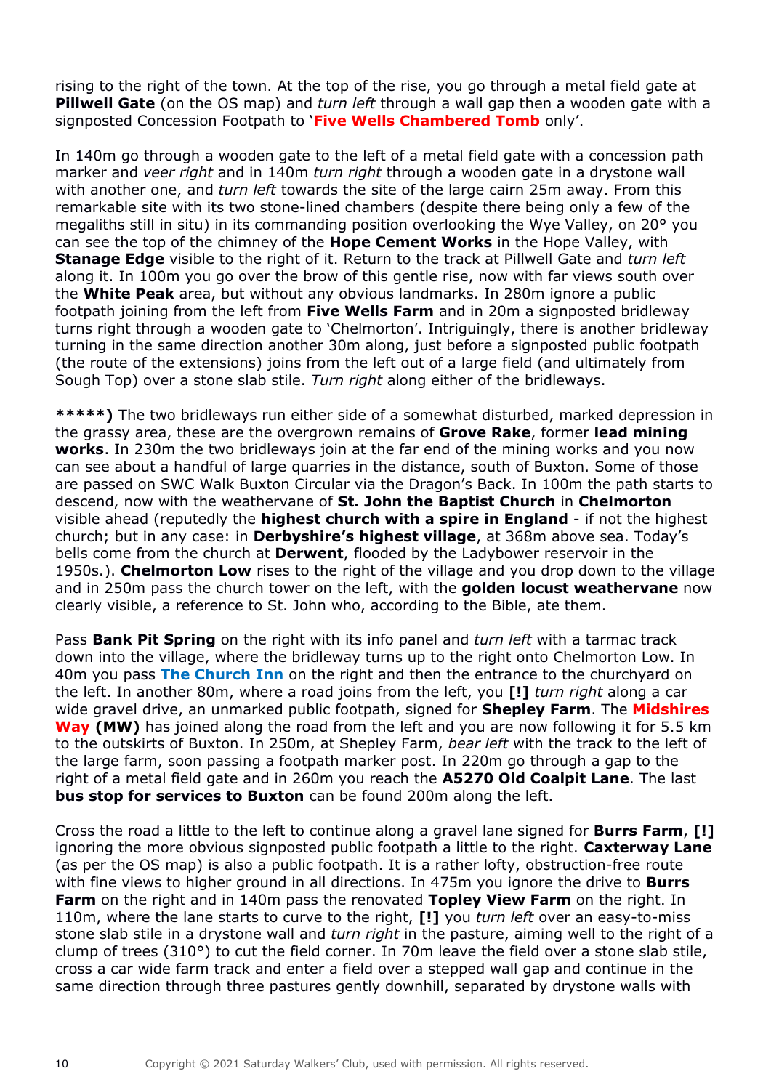rising to the right of the town. At the top of the rise, you go through a metal field gate at **Pillwell Gate** (on the OS map) and *turn left* through a wall gap then a wooden gate with a signposted Concession Footpath to '**Five Wells Chambered Tomb** only'.

In 140m go through a wooden gate to the left of a metal field gate with a concession path marker and *veer right* and in 140m *turn right* through a wooden gate in a drystone wall with another one, and *turn left* towards the site of the large cairn 25m away. From this remarkable site with its two stone-lined chambers (despite there being only a few of the megaliths still in situ) in its commanding position overlooking the Wye Valley, on 20° you can see the top of the chimney of the **Hope Cement Works** in the Hope Valley, with **Stanage Edge** visible to the right of it. Return to the track at Pillwell Gate and *turn left* along it. In 100m you go over the brow of this gentle rise, now with far views south over the **White Peak** area, but without any obvious landmarks. In 280m ignore a public footpath joining from the left from **Five Wells Farm** and in 20m a signposted bridleway turns right through a wooden gate to 'Chelmorton'. Intriguingly, there is another bridleway turning in the same direction another 30m along, just before a signposted public footpath (the route of the extensions) joins from the left out of a large field (and ultimately from Sough Top) over a stone slab stile. *Turn right* along either of the bridleways.

**\*\*\*\*\*)** The two bridleways run either side of a somewhat disturbed, marked depression in the grassy area, these are the overgrown remains of **Grove Rake**, former **lead mining works**. In 230m the two bridleways join at the far end of the mining works and you now can see about a handful of large quarries in the distance, south of Buxton. Some of those are passed on SWC Walk Buxton Circular via the Dragon's Back. In 100m the path starts to descend, now with the weathervane of **St. John the Baptist Church** in **Chelmorton** visible ahead (reputedly the **highest church with a spire in England** - if not the highest church; but in any case: in **Derbyshire's highest village**, at 368m above sea. Today's bells come from the church at **Derwent**, flooded by the Ladybower reservoir in the 1950s.). **Chelmorton Low** rises to the right of the village and you drop down to the village and in 250m pass the church tower on the left, with the **golden locust weathervane** now clearly visible, a reference to St. John who, according to the Bible, ate them.

Pass **Bank Pit Spring** on the right with its info panel and *turn left* with a tarmac track down into the village, where the bridleway turns up to the right onto Chelmorton Low. In 40m you pass **The Church Inn** on the right and then the entrance to the churchyard on the left. In another 80m, where a road joins from the left, you **[!]** *turn right* along a car wide gravel drive, an unmarked public footpath, signed for **Shepley Farm**. The **Midshires Way (MW)** has joined along the road from the left and you are now following it for 5.5 km to the outskirts of Buxton. In 250m, at Shepley Farm, *bear left* with the track to the left of the large farm, soon passing a footpath marker post. In 220m go through a gap to the right of a metal field gate and in 260m you reach the **A5270 Old Coalpit Lane**. The last **bus stop for services to Buxton** can be found 200m along the left.

Cross the road a little to the left to continue along a gravel lane signed for **Burrs Farm**, **[!]** ignoring the more obvious signposted public footpath a little to the right. **Caxterway Lane** (as per the OS map) is also a public footpath. It is a rather lofty, obstruction-free route with fine views to higher ground in all directions. In 475m you ignore the drive to **Burrs Farm** on the right and in 140m pass the renovated **Topley View Farm** on the right. In 110m, where the lane starts to curve to the right, **[!]** you *turn left* over an easy-to-miss stone slab stile in a drystone wall and *turn right* in the pasture, aiming well to the right of a clump of trees (310°) to cut the field corner. In 70m leave the field over a stone slab stile, cross a car wide farm track and enter a field over a stepped wall gap and continue in the same direction through three pastures gently downhill, separated by drystone walls with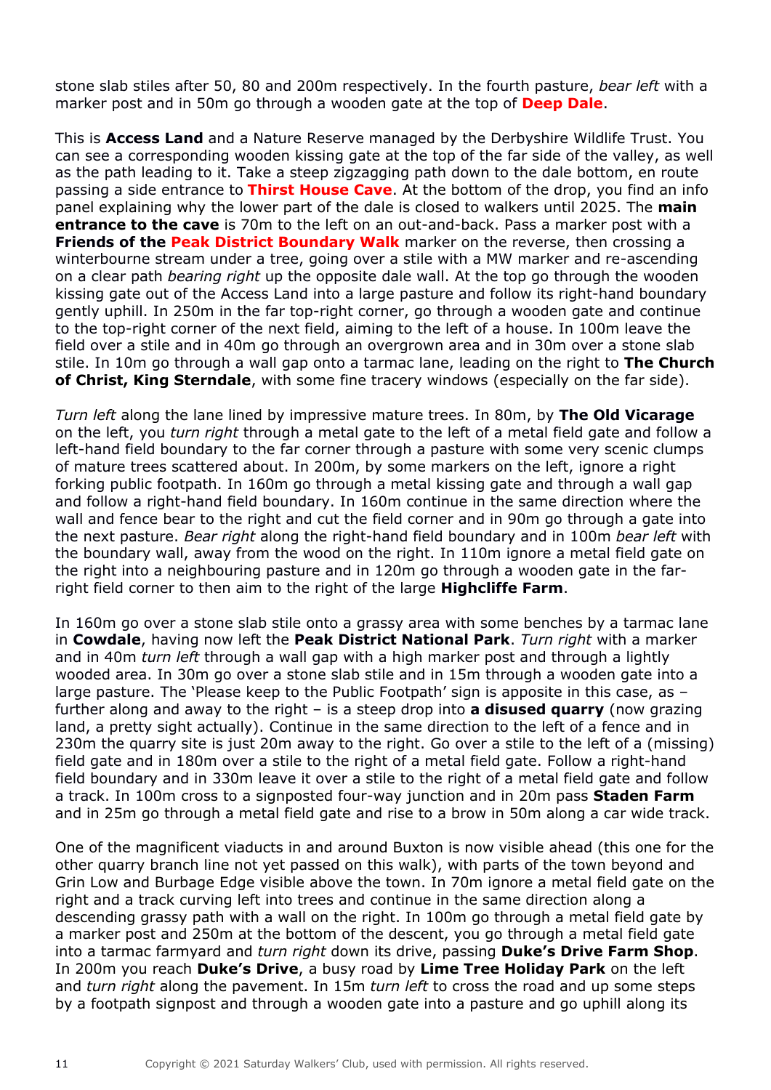stone slab stiles after 50, 80 and 200m respectively. In the fourth pasture, *bear left* with a marker post and in 50m go through a wooden gate at the top of **Deep Dale**.

This is **Access Land** and a Nature Reserve managed by the Derbyshire Wildlife Trust. You can see a corresponding wooden kissing gate at the top of the far side of the valley, as well as the path leading to it. Take a steep zigzagging path down to the dale bottom, en route passing a side entrance to **Thirst House Cave**. At the bottom of the drop, you find an info panel explaining why the lower part of the dale is closed to walkers until 2025. The **main entrance to the cave** is 70m to the left on an out-and-back. Pass a marker post with a **Friends of the Peak District Boundary Walk** marker on the reverse, then crossing a winterbourne stream under a tree, going over a stile with a MW marker and re-ascending on a clear path *bearing right* up the opposite dale wall. At the top go through the wooden kissing gate out of the Access Land into a large pasture and follow its right-hand boundary gently uphill. In 250m in the far top-right corner, go through a wooden gate and continue to the top-right corner of the next field, aiming to the left of a house. In 100m leave the field over a stile and in 40m go through an overgrown area and in 30m over a stone slab stile. In 10m go through a wall gap onto a tarmac lane, leading on the right to **The Church of Christ, King Sterndale**, with some fine tracery windows (especially on the far side).

*Turn left* along the lane lined by impressive mature trees. In 80m, by **The Old Vicarage** on the left, you *turn right* through a metal gate to the left of a metal field gate and follow a left-hand field boundary to the far corner through a pasture with some very scenic clumps of mature trees scattered about. In 200m, by some markers on the left, ignore a right forking public footpath. In 160m go through a metal kissing gate and through a wall gap and follow a right-hand field boundary. In 160m continue in the same direction where the wall and fence bear to the right and cut the field corner and in 90m go through a gate into the next pasture. *Bear right* along the right-hand field boundary and in 100m *bear left* with the boundary wall, away from the wood on the right. In 110m ignore a metal field gate on the right into a neighbouring pasture and in 120m go through a wooden gate in the farright field corner to then aim to the right of the large **Highcliffe Farm**.

In 160m go over a stone slab stile onto a grassy area with some benches by a tarmac lane in **Cowdale**, having now left the **Peak District National Park**. *Turn right* with a marker and in 40m *turn left* through a wall gap with a high marker post and through a lightly wooded area. In 30m go over a stone slab stile and in 15m through a wooden gate into a large pasture. The 'Please keep to the Public Footpath' sign is apposite in this case, as – further along and away to the right – is a steep drop into **a disused quarry** (now grazing land, a pretty sight actually). Continue in the same direction to the left of a fence and in 230m the quarry site is just 20m away to the right. Go over a stile to the left of a (missing) field gate and in 180m over a stile to the right of a metal field gate. Follow a right-hand field boundary and in 330m leave it over a stile to the right of a metal field gate and follow a track. In 100m cross to a signposted four-way junction and in 20m pass **Staden Farm** and in 25m go through a metal field gate and rise to a brow in 50m along a car wide track.

One of the magnificent viaducts in and around Buxton is now visible ahead (this one for the other quarry branch line not yet passed on this walk), with parts of the town beyond and Grin Low and Burbage Edge visible above the town. In 70m ignore a metal field gate on the right and a track curving left into trees and continue in the same direction along a descending grassy path with a wall on the right. In 100m go through a metal field gate by a marker post and 250m at the bottom of the descent, you go through a metal field gate into a tarmac farmyard and *turn right* down its drive, passing **Duke's Drive Farm Shop**. In 200m you reach **Duke's Drive**, a busy road by **Lime Tree Holiday Park** on the left and *turn right* along the pavement. In 15m *turn left* to cross the road and up some steps by a footpath signpost and through a wooden gate into a pasture and go uphill along its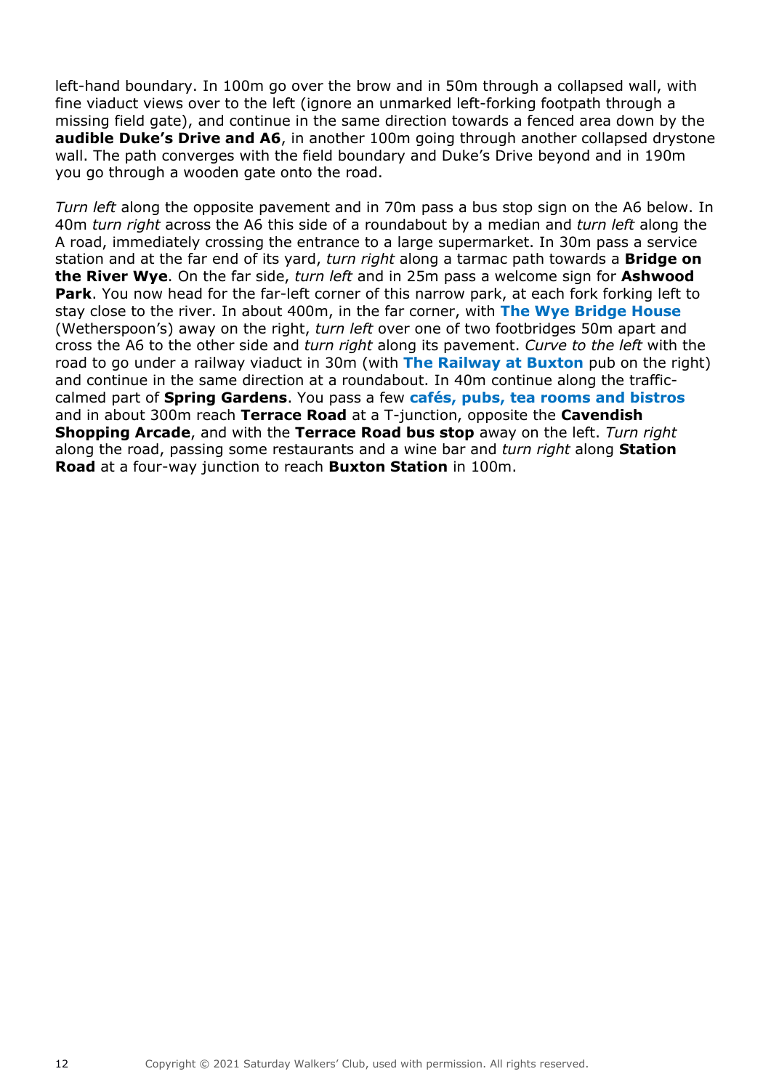left-hand boundary. In 100m go over the brow and in 50m through a collapsed wall, with fine viaduct views over to the left (ignore an unmarked left-forking footpath through a missing field gate), and continue in the same direction towards a fenced area down by the **audible Duke's Drive and A6**, in another 100m going through another collapsed drystone wall. The path converges with the field boundary and Duke's Drive beyond and in 190m you go through a wooden gate onto the road.

*Turn left* along the opposite pavement and in 70m pass a bus stop sign on the A6 below. In 40m *turn right* across the A6 this side of a roundabout by a median and *turn left* along the A road, immediately crossing the entrance to a large supermarket. In 30m pass a service station and at the far end of its yard, *turn right* along a tarmac path towards a **Bridge on the River Wye**. On the far side, *turn left* and in 25m pass a welcome sign for **Ashwood Park**. You now head for the far-left corner of this narrow park, at each fork forking left to stay close to the river. In about 400m, in the far corner, with **The Wye Bridge House** (Wetherspoon's) away on the right, *turn left* over one of two footbridges 50m apart and cross the A6 to the other side and *turn right* along its pavement. *Curve to the left* with the road to go under a railway viaduct in 30m (with **The Railway at Buxton** pub on the right) and continue in the same direction at a roundabout. In 40m continue along the trafficcalmed part of **Spring Gardens**. You pass a few **cafés, pubs, tea rooms and bistros** and in about 300m reach **Terrace Road** at a T-junction, opposite the **Cavendish Shopping Arcade**, and with the **Terrace Road bus stop** away on the left. *Turn right* along the road, passing some restaurants and a wine bar and *turn right* along **Station Road** at a four-way junction to reach **Buxton Station** in 100m.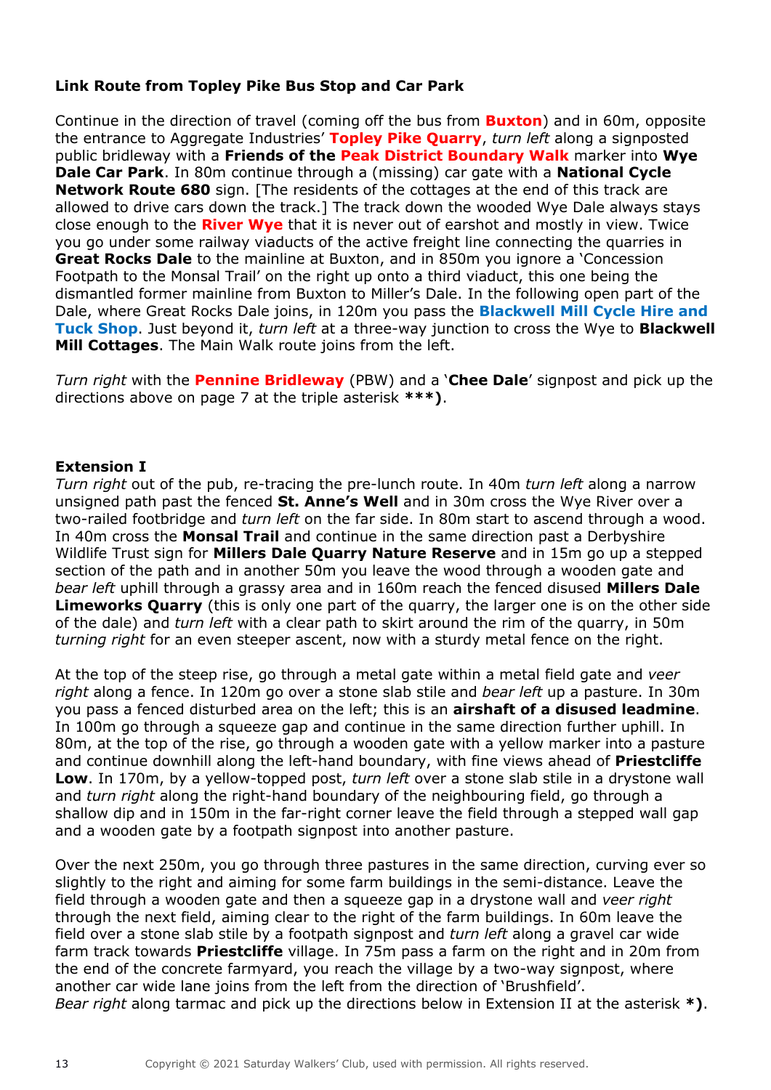## **Link Route from Topley Pike Bus Stop and Car Park**

Continue in the direction of travel (coming off the bus from **Buxton**) and in 60m, opposite the entrance to Aggregate Industries' **Topley Pike Quarry**, *turn left* along a signposted public bridleway with a **Friends of the Peak District Boundary Walk** marker into **Wye Dale Car Park**. In 80m continue through a (missing) car gate with a **National Cycle Network Route 680** sign. [The residents of the cottages at the end of this track are allowed to drive cars down the track.] The track down the wooded Wye Dale always stays close enough to the **River Wye** that it is never out of earshot and mostly in view. Twice you go under some railway viaducts of the active freight line connecting the quarries in **Great Rocks Dale** to the mainline at Buxton, and in 850m you ignore a 'Concession' Footpath to the Monsal Trail' on the right up onto a third viaduct, this one being the dismantled former mainline from Buxton to Miller's Dale. In the following open part of the Dale, where Great Rocks Dale joins, in 120m you pass the **Blackwell Mill Cycle Hire and Tuck Shop**. Just beyond it, *turn left* at a three-way junction to cross the Wye to **Blackwell Mill Cottages**. The Main Walk route joins from the left.

*Turn right* with the **Pennine Bridleway** (PBW) and a '**Chee Dale**' signpost and pick up the directions above on page 7 at the triple asterisk **\*\*\*)**.

### **Extension I**

*Turn right* out of the pub, re-tracing the pre-lunch route. In 40m *turn left* along a narrow unsigned path past the fenced **St. Anne's Well** and in 30m cross the Wye River over a two-railed footbridge and *turn left* on the far side. In 80m start to ascend through a wood. In 40m cross the **Monsal Trail** and continue in the same direction past a Derbyshire Wildlife Trust sign for **Millers Dale Quarry Nature Reserve** and in 15m go up a stepped section of the path and in another 50m you leave the wood through a wooden gate and *bear left* uphill through a grassy area and in 160m reach the fenced disused **Millers Dale Limeworks Quarry** (this is only one part of the quarry, the larger one is on the other side of the dale) and *turn left* with a clear path to skirt around the rim of the quarry, in 50m *turning right* for an even steeper ascent, now with a sturdy metal fence on the right.

At the top of the steep rise, go through a metal gate within a metal field gate and *veer right* along a fence. In 120m go over a stone slab stile and *bear left* up a pasture. In 30m you pass a fenced disturbed area on the left; this is an **airshaft of a disused leadmine**. In 100m go through a squeeze gap and continue in the same direction further uphill. In 80m, at the top of the rise, go through a wooden gate with a yellow marker into a pasture and continue downhill along the left-hand boundary, with fine views ahead of **Priestcliffe Low**. In 170m, by a yellow-topped post, *turn left* over a stone slab stile in a drystone wall and *turn right* along the right-hand boundary of the neighbouring field, go through a shallow dip and in 150m in the far-right corner leave the field through a stepped wall gap and a wooden gate by a footpath signpost into another pasture.

Over the next 250m, you go through three pastures in the same direction, curving ever so slightly to the right and aiming for some farm buildings in the semi-distance. Leave the field through a wooden gate and then a squeeze gap in a drystone wall and *veer right* through the next field, aiming clear to the right of the farm buildings. In 60m leave the field over a stone slab stile by a footpath signpost and *turn left* along a gravel car wide farm track towards **Priestcliffe** village. In 75m pass a farm on the right and in 20m from the end of the concrete farmyard, you reach the village by a two-way signpost, where another car wide lane joins from the left from the direction of 'Brushfield'. *Bear right* along tarmac and pick up the directions below in Extension II at the asterisk **\*)**.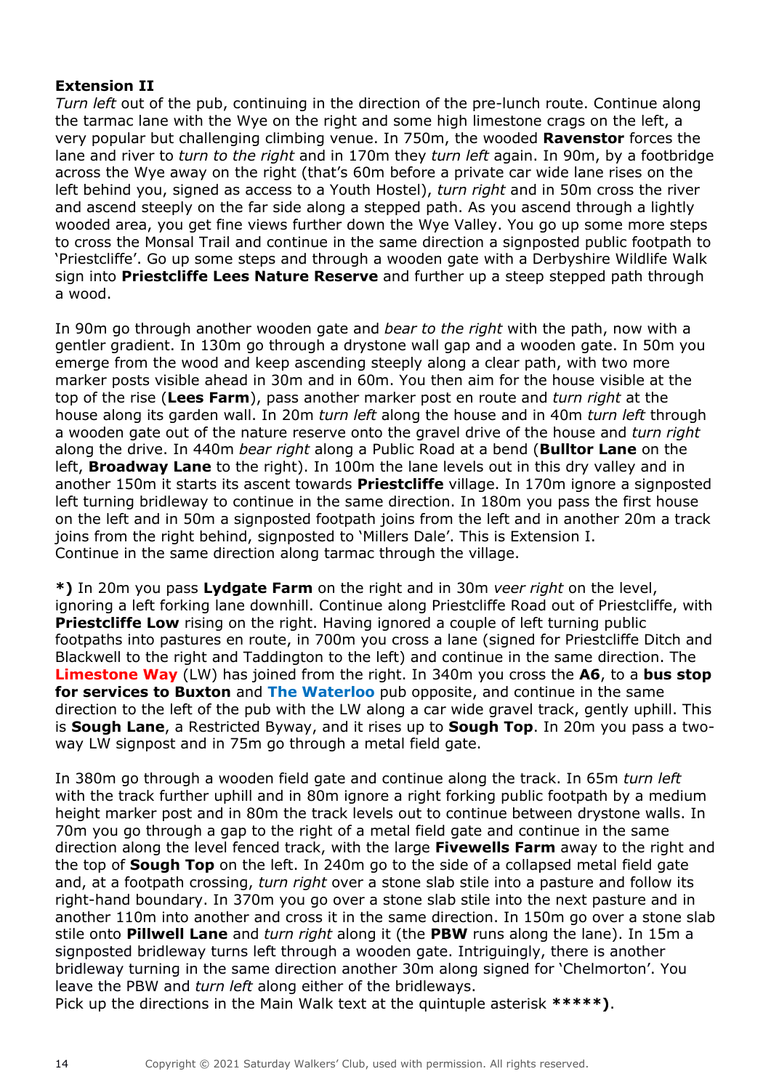## **Extension II**

*Turn left* out of the pub, continuing in the direction of the pre-lunch route. Continue along the tarmac lane with the Wye on the right and some high limestone crags on the left, a very popular but challenging climbing venue. In 750m, the wooded **Ravenstor** forces the lane and river to *turn to the right* and in 170m they *turn left* again. In 90m, by a footbridge across the Wye away on the right (that's 60m before a private car wide lane rises on the left behind you, signed as access to a Youth Hostel), *turn right* and in 50m cross the river and ascend steeply on the far side along a stepped path. As you ascend through a lightly wooded area, you get fine views further down the Wye Valley. You go up some more steps to cross the Monsal Trail and continue in the same direction a signposted public footpath to 'Priestcliffe'. Go up some steps and through a wooden gate with a Derbyshire Wildlife Walk sign into **Priestcliffe Lees Nature Reserve** and further up a steep stepped path through a wood.

In 90m go through another wooden gate and *bear to the right* with the path, now with a gentler gradient. In 130m go through a drystone wall gap and a wooden gate. In 50m you emerge from the wood and keep ascending steeply along a clear path, with two more marker posts visible ahead in 30m and in 60m. You then aim for the house visible at the top of the rise (**Lees Farm**), pass another marker post en route and *turn right* at the house along its garden wall. In 20m *turn left* along the house and in 40m *turn left* through a wooden gate out of the nature reserve onto the gravel drive of the house and *turn right* along the drive. In 440m *bear right* along a Public Road at a bend (**Bulltor Lane** on the left, **Broadway Lane** to the right). In 100m the lane levels out in this dry valley and in another 150m it starts its ascent towards **Priestcliffe** village. In 170m ignore a signposted left turning bridleway to continue in the same direction. In 180m you pass the first house on the left and in 50m a signposted footpath joins from the left and in another 20m a track joins from the right behind, signposted to 'Millers Dale'. This is Extension I. Continue in the same direction along tarmac through the village.

**\*)** In 20m you pass **Lydgate Farm** on the right and in 30m *veer right* on the level, ignoring a left forking lane downhill. Continue along Priestcliffe Road out of Priestcliffe, with **Priestcliffe Low** rising on the right. Having ignored a couple of left turning public footpaths into pastures en route, in 700m you cross a lane (signed for Priestcliffe Ditch and Blackwell to the right and Taddington to the left) and continue in the same direction. The **Limestone Way** (LW) has joined from the right. In 340m you cross the **A6**, to a **bus stop for services to Buxton** and **The Waterloo** pub opposite, and continue in the same direction to the left of the pub with the LW along a car wide gravel track, gently uphill. This is **Sough Lane**, a Restricted Byway, and it rises up to **Sough Top**. In 20m you pass a twoway LW signpost and in 75m go through a metal field gate.

In 380m go through a wooden field gate and continue along the track. In 65m *turn left* with the track further uphill and in 80m ignore a right forking public footpath by a medium height marker post and in 80m the track levels out to continue between drystone walls. In 70m you go through a gap to the right of a metal field gate and continue in the same direction along the level fenced track, with the large **Fivewells Farm** away to the right and the top of **Sough Top** on the left. In 240m go to the side of a collapsed metal field gate and, at a footpath crossing, *turn right* over a stone slab stile into a pasture and follow its right-hand boundary. In 370m you go over a stone slab stile into the next pasture and in another 110m into another and cross it in the same direction. In 150m go over a stone slab stile onto **Pillwell Lane** and *turn right* along it (the **PBW** runs along the lane). In 15m a signposted bridleway turns left through a wooden gate. Intriguingly, there is another bridleway turning in the same direction another 30m along signed for 'Chelmorton'. You leave the PBW and *turn left* along either of the bridleways.

Pick up the directions in the Main Walk text at the quintuple asterisk **\*\*\*\*\*)**.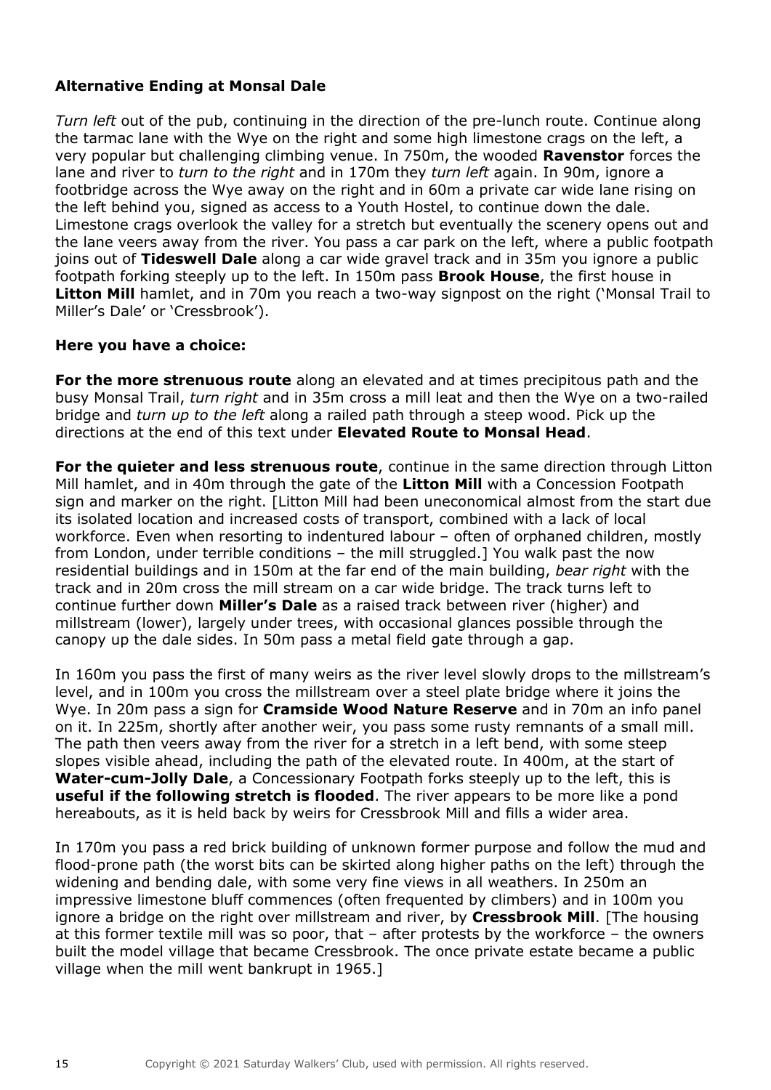## **Alternative Ending at Monsal Dale**

*Turn left* out of the pub, continuing in the direction of the pre-lunch route. Continue along the tarmac lane with the Wye on the right and some high limestone crags on the left, a very popular but challenging climbing venue. In 750m, the wooded **Ravenstor** forces the lane and river to *turn to the right* and in 170m they *turn left* again. In 90m, ignore a footbridge across the Wye away on the right and in 60m a private car wide lane rising on the left behind you, signed as access to a Youth Hostel, to continue down the dale. Limestone crags overlook the valley for a stretch but eventually the scenery opens out and the lane veers away from the river. You pass a car park on the left, where a public footpath joins out of **Tideswell Dale** along a car wide gravel track and in 35m you ignore a public footpath forking steeply up to the left. In 150m pass **Brook House**, the first house in **Litton Mill** hamlet, and in 70m you reach a two-way signpost on the right ('Monsal Trail to Miller's Dale' or 'Cressbrook').

## **Here you have a choice:**

**For the more strenuous route** along an elevated and at times precipitous path and the busy Monsal Trail, *turn right* and in 35m cross a mill leat and then the Wye on a two-railed bridge and *turn up to the left* along a railed path through a steep wood. Pick up the directions at the end of this text under **Elevated Route to Monsal Head**.

**For the quieter and less strenuous route**, continue in the same direction through Litton Mill hamlet, and in 40m through the gate of the **Litton Mill** with a Concession Footpath sign and marker on the right. [Litton Mill had been uneconomical almost from the start due its isolated location and increased costs of transport, combined with a lack of local workforce. Even when resorting to indentured labour – often of orphaned children, mostly from London, under terrible conditions – the mill struggled.] You walk past the now residential buildings and in 150m at the far end of the main building, *bear right* with the track and in 20m cross the mill stream on a car wide bridge. The track turns left to continue further down **Miller's Dale** as a raised track between river (higher) and millstream (lower), largely under trees, with occasional glances possible through the canopy up the dale sides. In 50m pass a metal field gate through a gap.

In 160m you pass the first of many weirs as the river level slowly drops to the millstream's level, and in 100m you cross the millstream over a steel plate bridge where it joins the Wye. In 20m pass a sign for **Cramside Wood Nature Reserve** and in 70m an info panel on it. In 225m, shortly after another weir, you pass some rusty remnants of a small mill. The path then veers away from the river for a stretch in a left bend, with some steep slopes visible ahead, including the path of the elevated route. In 400m, at the start of **Water-cum-Jolly Dale**, a Concessionary Footpath forks steeply up to the left, this is **useful if the following stretch is flooded**. The river appears to be more like a pond hereabouts, as it is held back by weirs for Cressbrook Mill and fills a wider area.

In 170m you pass a red brick building of unknown former purpose and follow the mud and flood-prone path (the worst bits can be skirted along higher paths on the left) through the widening and bending dale, with some very fine views in all weathers. In 250m an impressive limestone bluff commences (often frequented by climbers) and in 100m you ignore a bridge on the right over millstream and river, by **Cressbrook Mill**. [The housing at this former textile mill was so poor, that – after protests by the workforce – the owners built the model village that became Cressbrook. The once private estate became a public village when the mill went bankrupt in 1965.]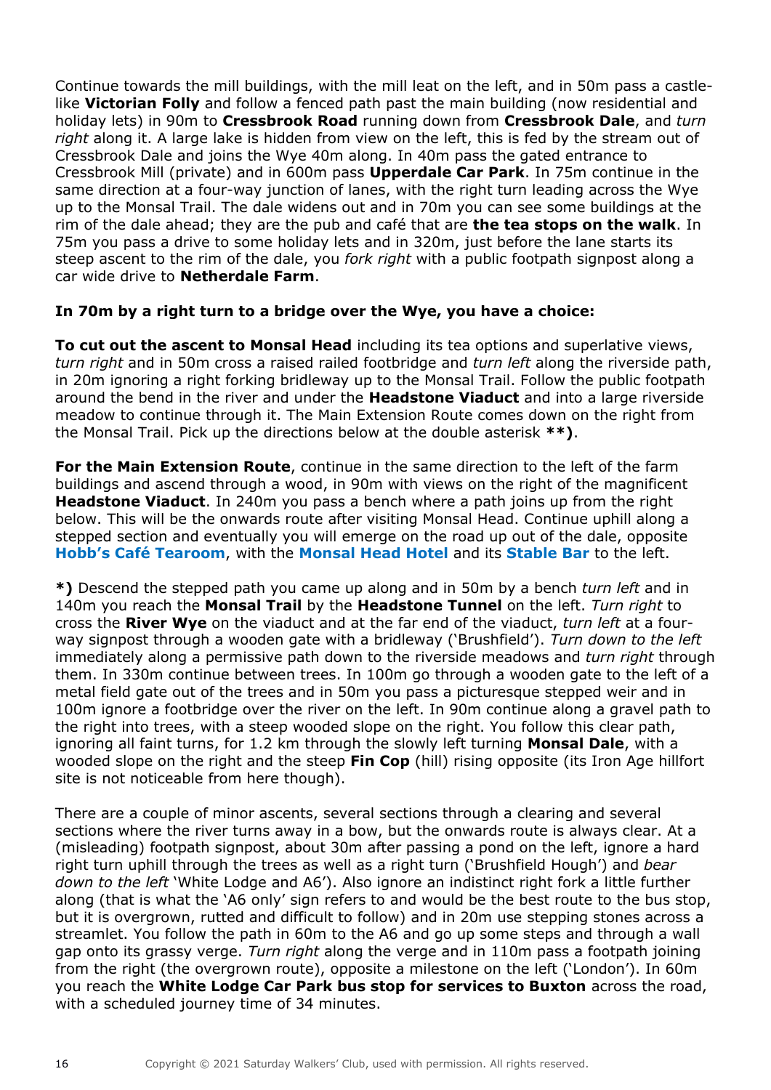Continue towards the mill buildings, with the mill leat on the left, and in 50m pass a castlelike **Victorian Folly** and follow a fenced path past the main building (now residential and holiday lets) in 90m to **Cressbrook Road** running down from **Cressbrook Dale**, and *turn right* along it. A large lake is hidden from view on the left, this is fed by the stream out of Cressbrook Dale and joins the Wye 40m along. In 40m pass the gated entrance to Cressbrook Mill (private) and in 600m pass **Upperdale Car Park**. In 75m continue in the same direction at a four-way junction of lanes, with the right turn leading across the Wye up to the Monsal Trail. The dale widens out and in 70m you can see some buildings at the rim of the dale ahead; they are the pub and café that are **the tea stops on the walk**. In 75m you pass a drive to some holiday lets and in 320m, just before the lane starts its steep ascent to the rim of the dale, you *fork right* with a public footpath signpost along a car wide drive to **Netherdale Farm**.

## **In 70m by a right turn to a bridge over the Wye, you have a choice:**

**To cut out the ascent to Monsal Head** including its tea options and superlative views, *turn right* and in 50m cross a raised railed footbridge and *turn left* along the riverside path, in 20m ignoring a right forking bridleway up to the Monsal Trail. Follow the public footpath around the bend in the river and under the **Headstone Viaduct** and into a large riverside meadow to continue through it. The Main Extension Route comes down on the right from the Monsal Trail. Pick up the directions below at the double asterisk **\*\*)**.

**For the Main Extension Route**, continue in the same direction to the left of the farm buildings and ascend through a wood, in 90m with views on the right of the magnificent **Headstone Viaduct**. In 240m you pass a bench where a path joins up from the right below. This will be the onwards route after visiting Monsal Head. Continue uphill along a stepped section and eventually you will emerge on the road up out of the dale, opposite **Hobb's Café Tearoom**, with the **Monsal Head Hotel** and its **Stable Bar** to the left.

**\*)** Descend the stepped path you came up along and in 50m by a bench *turn left* and in 140m you reach the **Monsal Trail** by the **Headstone Tunnel** on the left. *Turn right* to cross the **River Wye** on the viaduct and at the far end of the viaduct, *turn left* at a fourway signpost through a wooden gate with a bridleway ('Brushfield'). *Turn down to the left* immediately along a permissive path down to the riverside meadows and *turn right* through them. In 330m continue between trees. In 100m go through a wooden gate to the left of a metal field gate out of the trees and in 50m you pass a picturesque stepped weir and in 100m ignore a footbridge over the river on the left. In 90m continue along a gravel path to the right into trees, with a steep wooded slope on the right. You follow this clear path, ignoring all faint turns, for 1.2 km through the slowly left turning **Monsal Dale**, with a wooded slope on the right and the steep **Fin Cop** (hill) rising opposite (its Iron Age hillfort site is not noticeable from here though).

There are a couple of minor ascents, several sections through a clearing and several sections where the river turns away in a bow, but the onwards route is always clear. At a (misleading) footpath signpost, about 30m after passing a pond on the left, ignore a hard right turn uphill through the trees as well as a right turn ('Brushfield Hough') and *bear down to the left* 'White Lodge and A6'). Also ignore an indistinct right fork a little further along (that is what the 'A6 only' sign refers to and would be the best route to the bus stop, but it is overgrown, rutted and difficult to follow) and in 20m use stepping stones across a streamlet. You follow the path in 60m to the A6 and go up some steps and through a wall gap onto its grassy verge. *Turn right* along the verge and in 110m pass a footpath joining from the right (the overgrown route), opposite a milestone on the left ('London'). In 60m you reach the **White Lodge Car Park bus stop for services to Buxton** across the road, with a scheduled journey time of 34 minutes.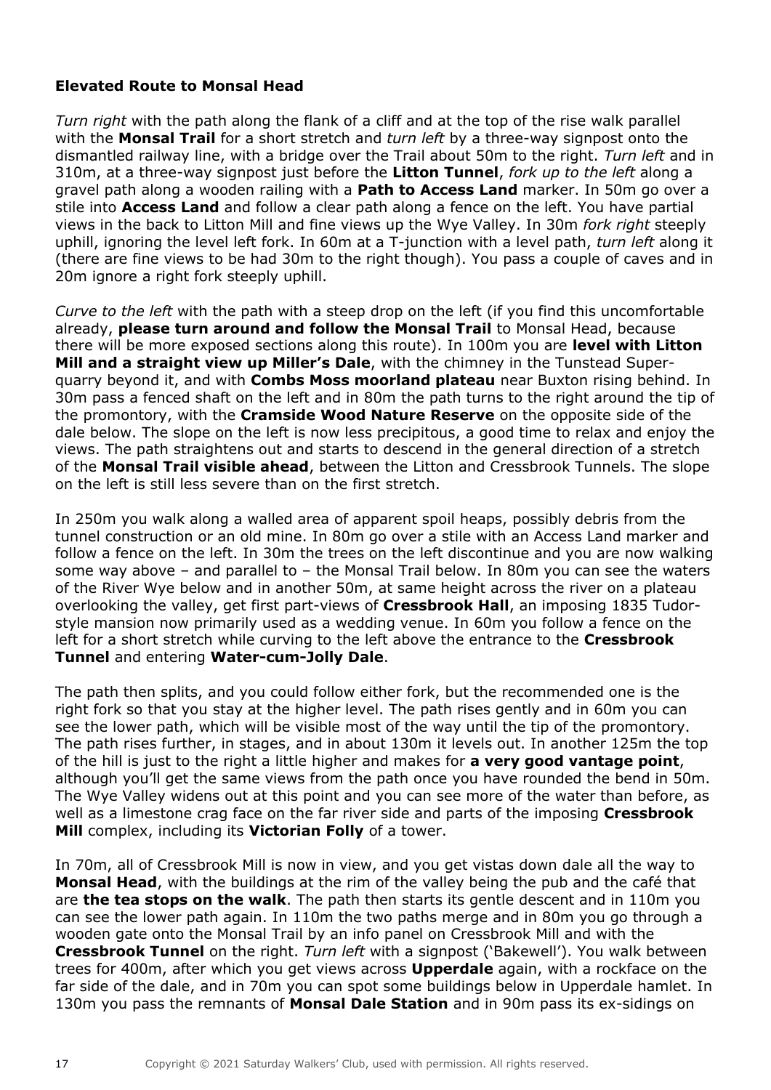## **Elevated Route to Monsal Head**

*Turn right* with the path along the flank of a cliff and at the top of the rise walk parallel with the **Monsal Trail** for a short stretch and *turn left* by a three-way signpost onto the dismantled railway line, with a bridge over the Trail about 50m to the right. *Turn left* and in 310m, at a three-way signpost just before the **Litton Tunnel**, *fork up to the left* along a gravel path along a wooden railing with a **Path to Access Land** marker. In 50m go over a stile into **Access Land** and follow a clear path along a fence on the left. You have partial views in the back to Litton Mill and fine views up the Wye Valley. In 30m *fork right* steeply uphill, ignoring the level left fork. In 60m at a T-junction with a level path, *turn left* along it (there are fine views to be had 30m to the right though). You pass a couple of caves and in 20m ignore a right fork steeply uphill.

*Curve to the left* with the path with a steep drop on the left (if you find this uncomfortable already, **please turn around and follow the Monsal Trail** to Monsal Head, because there will be more exposed sections along this route). In 100m you are **level with Litton Mill and a straight view up Miller's Dale**, with the chimney in the Tunstead Superquarry beyond it, and with **Combs Moss moorland plateau** near Buxton rising behind. In 30m pass a fenced shaft on the left and in 80m the path turns to the right around the tip of the promontory, with the **Cramside Wood Nature Reserve** on the opposite side of the dale below. The slope on the left is now less precipitous, a good time to relax and enjoy the views. The path straightens out and starts to descend in the general direction of a stretch of the **Monsal Trail visible ahead**, between the Litton and Cressbrook Tunnels. The slope on the left is still less severe than on the first stretch.

In 250m you walk along a walled area of apparent spoil heaps, possibly debris from the tunnel construction or an old mine. In 80m go over a stile with an Access Land marker and follow a fence on the left. In 30m the trees on the left discontinue and you are now walking some way above – and parallel to – the Monsal Trail below. In 80m you can see the waters of the River Wye below and in another 50m, at same height across the river on a plateau overlooking the valley, get first part-views of **Cressbrook Hall**, an imposing 1835 Tudorstyle mansion now primarily used as a wedding venue. In 60m you follow a fence on the left for a short stretch while curving to the left above the entrance to the **Cressbrook Tunnel** and entering **Water-cum-Jolly Dale**.

The path then splits, and you could follow either fork, but the recommended one is the right fork so that you stay at the higher level. The path rises gently and in 60m you can see the lower path, which will be visible most of the way until the tip of the promontory. The path rises further, in stages, and in about 130m it levels out. In another 125m the top of the hill is just to the right a little higher and makes for **a very good vantage point**, although you'll get the same views from the path once you have rounded the bend in 50m. The Wye Valley widens out at this point and you can see more of the water than before, as well as a limestone crag face on the far river side and parts of the imposing **Cressbrook Mill** complex, including its **Victorian Folly** of a tower.

In 70m, all of Cressbrook Mill is now in view, and you get vistas down dale all the way to **Monsal Head**, with the buildings at the rim of the valley being the pub and the café that are **the tea stops on the walk**. The path then starts its gentle descent and in 110m you can see the lower path again. In 110m the two paths merge and in 80m you go through a wooden gate onto the Monsal Trail by an info panel on Cressbrook Mill and with the **Cressbrook Tunnel** on the right. *Turn left* with a signpost ('Bakewell'). You walk between trees for 400m, after which you get views across **Upperdale** again, with a rockface on the far side of the dale, and in 70m you can spot some buildings below in Upperdale hamlet. In 130m you pass the remnants of **Monsal Dale Station** and in 90m pass its ex-sidings on